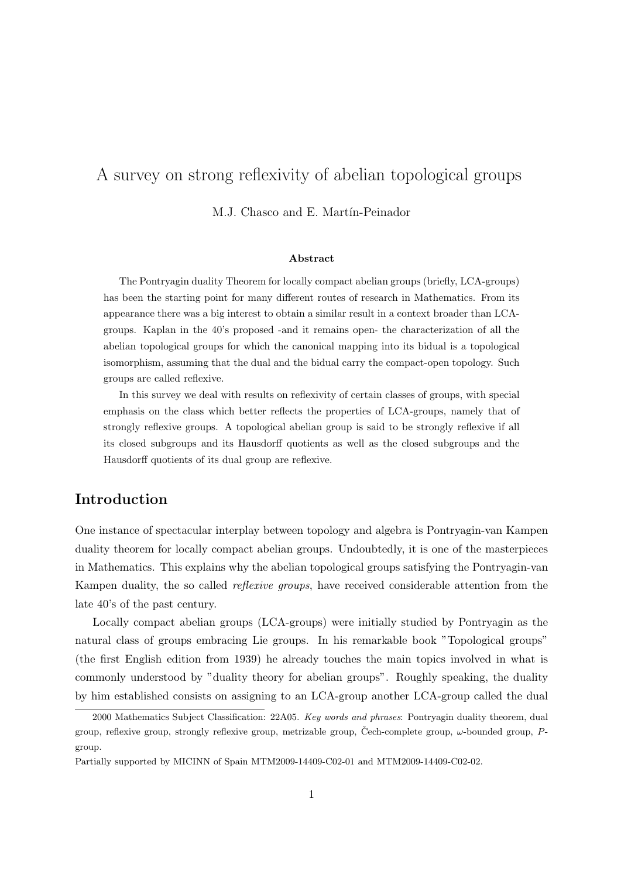# A survey on strong reflexivity of abelian topological groups

M.J. Chasco and E. Martín-Peinador

#### Abstract

The Pontryagin duality Theorem for locally compact abelian groups (briefly, LCA-groups) has been the starting point for many different routes of research in Mathematics. From its appearance there was a big interest to obtain a similar result in a context broader than LCAgroups. Kaplan in the 40's proposed -and it remains open- the characterization of all the abelian topological groups for which the canonical mapping into its bidual is a topological isomorphism, assuming that the dual and the bidual carry the compact-open topology. Such groups are called reflexive.

In this survey we deal with results on reflexivity of certain classes of groups, with special emphasis on the class which better reflects the properties of LCA-groups, namely that of strongly reflexive groups. A topological abelian group is said to be strongly reflexive if all its closed subgroups and its Hausdorff quotients as well as the closed subgroups and the Hausdorff quotients of its dual group are reflexive.

## Introduction

One instance of spectacular interplay between topology and algebra is Pontryagin-van Kampen duality theorem for locally compact abelian groups. Undoubtedly, it is one of the masterpieces in Mathematics. This explains why the abelian topological groups satisfying the Pontryagin-van Kampen duality, the so called *reflexive groups*, have received considerable attention from the late 40's of the past century.

Locally compact abelian groups (LCA-groups) were initially studied by Pontryagin as the natural class of groups embracing Lie groups. In his remarkable book "Topological groups" (the first English edition from 1939) he already touches the main topics involved in what is commonly understood by "duality theory for abelian groups". Roughly speaking, the duality by him established consists on assigning to an LCA-group another LCA-group called the dual

<sup>2000</sup> Mathematics Subject Classification: 22A05. Key words and phrases: Pontryagin duality theorem, dual group, reflexive group, strongly reflexive group, metrizable group, Čech-complete group,  $\omega$ -bounded group,  $P$ group.

Partially supported by MICINN of Spain MTM2009-14409-C02-01 and MTM2009-14409-C02-02.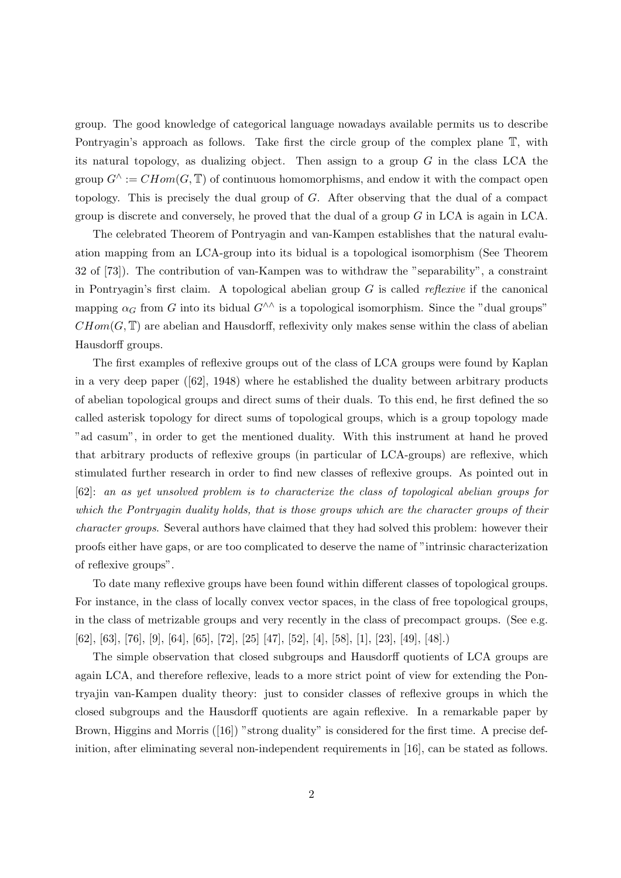group. The good knowledge of categorical language nowadays available permits us to describe Pontryagin's approach as follows. Take first the circle group of the complex plane  $\mathbb{T}$ , with its natural topology, as dualizing object. Then assign to a group  $G$  in the class LCA the group  $G^{\wedge} := CHom(G, \mathbb{T})$  of continuous homomorphisms, and endow it with the compact open topology. This is precisely the dual group of G. After observing that the dual of a compact group is discrete and conversely, he proved that the dual of a group  $G$  in LCA is again in LCA.

The celebrated Theorem of Pontryagin and van-Kampen establishes that the natural evaluation mapping from an LCA-group into its bidual is a topological isomorphism (See Theorem 32 of [73]). The contribution of van-Kampen was to withdraw the "separability", a constraint in Pontryagin's first claim. A topological abelian group  $G$  is called *reflexive* if the canonical mapping  $\alpha_G$  from G into its bidual  $G^{\wedge\wedge}$  is a topological isomorphism. Since the "dual groups"  $CHom(G, \mathbb{T})$  are abelian and Hausdorff, reflexivity only makes sense within the class of abelian Hausdorff groups.

The first examples of reflexive groups out of the class of LCA groups were found by Kaplan in a very deep paper  $([62], 1948)$  where he established the duality between arbitrary products of abelian topological groups and direct sums of their duals. To this end, he first defined the so called asterisk topology for direct sums of topological groups, which is a group topology made "ad casum", in order to get the mentioned duality. With this instrument at hand he proved that arbitrary products of reflexive groups (in particular of LCA-groups) are reflexive, which stimulated further research in order to find new classes of reflexive groups. As pointed out in [62]: an as yet unsolved problem is to characterize the class of topological abelian groups for which the Pontryagin duality holds, that is those groups which are the character groups of their character groups. Several authors have claimed that they had solved this problem: however their proofs either have gaps, or are too complicated to deserve the name of "intrinsic characterization of reflexive groups".

To date many reflexive groups have been found within different classes of topological groups. For instance, in the class of locally convex vector spaces, in the class of free topological groups, in the class of metrizable groups and very recently in the class of precompact groups. (See e.g. [62], [63], [76], [9], [64], [65], [72], [25] [47], [52], [4], [58], [1], [23], [49], [48].)

The simple observation that closed subgroups and Hausdorff quotients of LCA groups are again LCA, and therefore reflexive, leads to a more strict point of view for extending the Pontryajin van-Kampen duality theory: just to consider classes of reflexive groups in which the closed subgroups and the Hausdorff quotients are again reflexive. In a remarkable paper by Brown, Higgins and Morris ([16]) "strong duality" is considered for the first time. A precise definition, after eliminating several non-independent requirements in [16], can be stated as follows.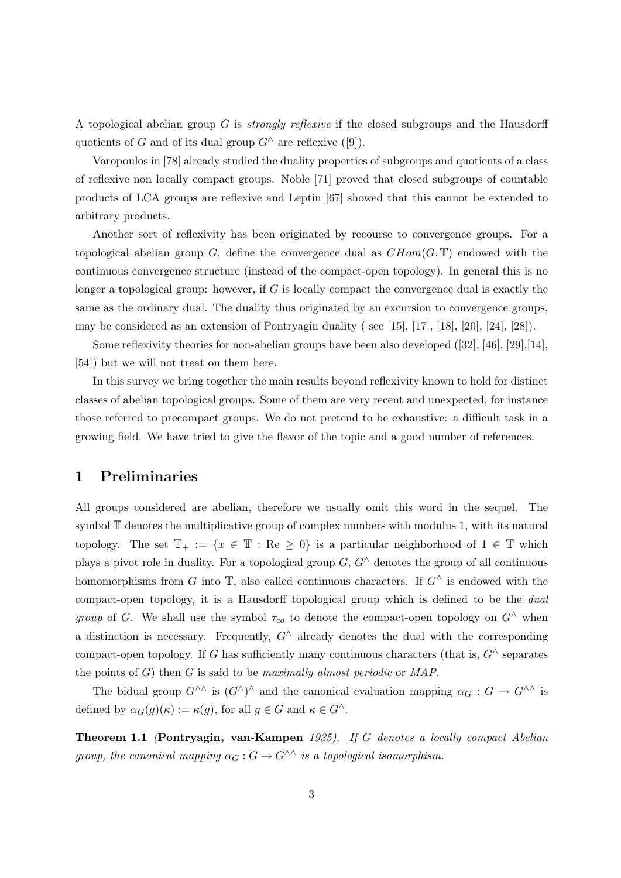A topological abelian group G is strongly reflexive if the closed subgroups and the Hausdorff quotients of G and of its dual group  $G^{\wedge}$  are reflexive ([9]).

Varopoulos in [78] already studied the duality properties of subgroups and quotients of a class of reflexive non locally compact groups. Noble [71] proved that closed subgroups of countable products of LCA groups are reflexive and Leptin [67] showed that this cannot be extended to arbitrary products.

Another sort of reflexivity has been originated by recourse to convergence groups. For a topological abelian group G, define the convergence dual as  $CHom(G, \mathbb{T})$  endowed with the continuous convergence structure (instead of the compact-open topology). In general this is no longer a topological group: however, if  $G$  is locally compact the convergence dual is exactly the same as the ordinary dual. The duality thus originated by an excursion to convergence groups, may be considered as an extension of Pontryagin duality (see [15], [17], [18], [20], [24], [28]).

Some reflexivity theories for non-abelian groups have been also developed ([32], [46], [29],[14], [54]) but we will not treat on them here.

In this survey we bring together the main results beyond reflexivity known to hold for distinct classes of abelian topological groups. Some of them are very recent and unexpected, for instance those referred to precompact groups. We do not pretend to be exhaustive: a difficult task in a growing field. We have tried to give the flavor of the topic and a good number of references.

### 1 Preliminaries

All groups considered are abelian, therefore we usually omit this word in the sequel. The symbol T denotes the multiplicative group of complex numbers with modulus 1, with its natural topology. The set  $\mathbb{T}_+ := \{x \in \mathbb{T} : \text{Re} \geq 0\}$  is a particular neighborhood of  $1 \in \mathbb{T}$  which plays a pivot role in duality. For a topological group  $G, G^{\wedge}$  denotes the group of all continuous homomorphisms from G into  $\mathbb{T}$ , also called continuous characters. If  $G^{\wedge}$  is endowed with the compact-open topology, it is a Hausdorff topological group which is defined to be the dual group of G. We shall use the symbol  $\tau_{co}$  to denote the compact-open topology on  $G^{\wedge}$  when a distinction is necessary. Frequently,  $G^{\wedge}$  already denotes the dual with the corresponding compact-open topology. If G has sufficiently many continuous characters (that is,  $G^{\wedge}$  separates the points of  $G$ ) then  $G$  is said to be *maximally almost periodic* or  $MAP$ .

The bidual group  $G^{\wedge\wedge}$  is  $(G^{\wedge})^{\wedge}$  and the canonical evaluation mapping  $\alpha_G : G \to G^{\wedge\wedge}$  is defined by  $\alpha_G(g)(\kappa) := \kappa(g)$ , for all  $g \in G$  and  $\kappa \in G^{\wedge}$ .

Theorem 1.1 (Pontryagin, van-Kampen 1935). If G denotes a locally compact Abelian group, the canonical mapping  $\alpha_G : G \to G^{\wedge\wedge}$  is a topological isomorphism.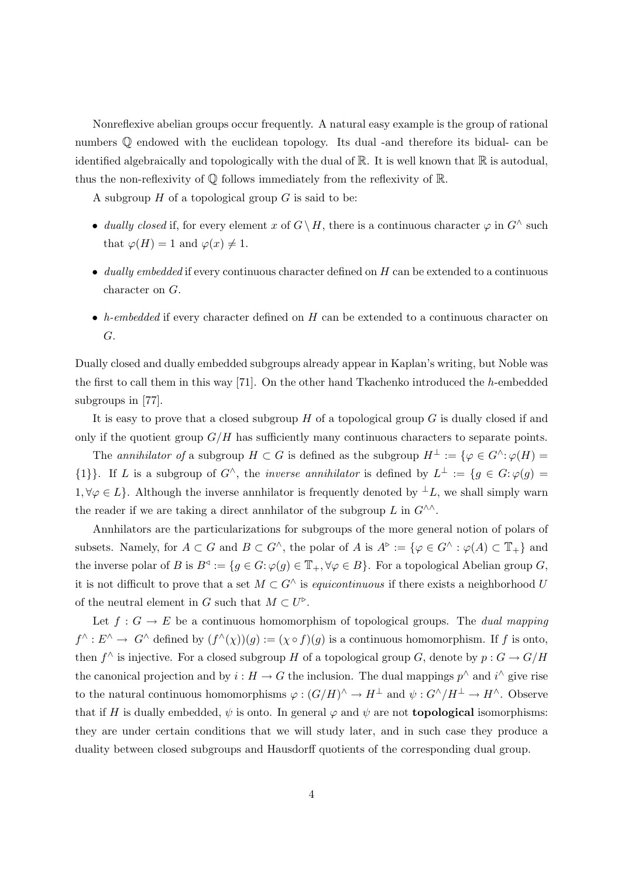Nonreflexive abelian groups occur frequently. A natural easy example is the group of rational numbers  $\mathbb Q$  endowed with the euclidean topology. Its dual -and therefore its bidual- can be identified algebraically and topologically with the dual of  $\mathbb{R}$ . It is well known that  $\mathbb{R}$  is autodual, thus the non-reflexivity of  $\mathbb Q$  follows immediately from the reflexivity of  $\mathbb R$ .

A subgroup  $H$  of a topological group  $G$  is said to be:

- dually closed if, for every element x of  $G \setminus H$ , there is a continuous character  $\varphi$  in  $G' \triangle$  such that  $\varphi(H) = 1$  and  $\varphi(x) \neq 1$ .
- $\bullet$  dually embedded if every continuous character defined on H can be extended to a continuous character on G.
- h-embedded if every character defined on  $H$  can be extended to a continuous character on G.

Dually closed and dually embedded subgroups already appear in Kaplan's writing, but Noble was the first to call them in this way [71]. On the other hand Tkachenko introduced the h-embedded subgroups in [77].

It is easy to prove that a closed subgroup  $H$  of a topological group  $G$  is dually closed if and only if the quotient group  $G/H$  has sufficiently many continuous characters to separate points.

The annihilator of a subgroup  $H \subset G$  is defined as the subgroup  $H^{\perp} := \{ \varphi \in G^{\wedge} : \varphi(H) =$  $\{1\}\}\.$  If L is a subgroup of  $G^{\wedge}$ , the *inverse annihilator* is defined by  $L^{\perp} := \{g \in G : \varphi(g) = 0\}$ 1,  $\forall \varphi \in L$ . Although the inverse annhilator is frequently denoted by  $\bot L$ , we shall simply warn the reader if we are taking a direct annhilator of the subgroup L in  $G^{\wedge\wedge}$ .

Annhilators are the particularizations for subgroups of the more general notion of polars of subsets. Namely, for  $A \subset G$  and  $B \subset G^{\wedge}$ , the polar of A is  $A^{\triangleright} := {\varphi \in G^{\wedge} : \varphi(A) \subset \mathbb{T}_+}$  and the inverse polar of B is  $B^d := \{g \in G : \varphi(g) \in \mathbb{T}_+, \forall \varphi \in B\}$ . For a topological Abelian group G, it is not difficult to prove that a set  $M \subset G^{\wedge}$  is *equicontinuous* if there exists a neighborhood U of the neutral element in G such that  $M \subset U^{\triangleright}$ .

Let  $f: G \to E$  be a continuous homomorphism of topological groups. The *dual mapping*  $f^{\wedge}: E^{\wedge} \to G^{\wedge}$  defined by  $(f^{\wedge}(\chi))(g) := (\chi \circ f)(g)$  is a continuous homomorphism. If f is onto, then  $f^{\wedge}$  is injective. For a closed subgroup H of a topological group G, denote by  $p: G \to G/H$ the canonical projection and by  $i : H \to G$  the inclusion. The dual mappings  $p^{\wedge}$  and  $i^{\wedge}$  give rise to the natural continuous homomorphisms  $\varphi : (G/H)^\wedge \to H^\perp$  and  $\psi : G^\wedge/H^\perp \to H^\wedge$ . Observe that if H is dually embedded,  $\psi$  is onto. In general  $\varphi$  and  $\psi$  are not **topological** isomorphisms: they are under certain conditions that we will study later, and in such case they produce a duality between closed subgroups and Hausdorff quotients of the corresponding dual group.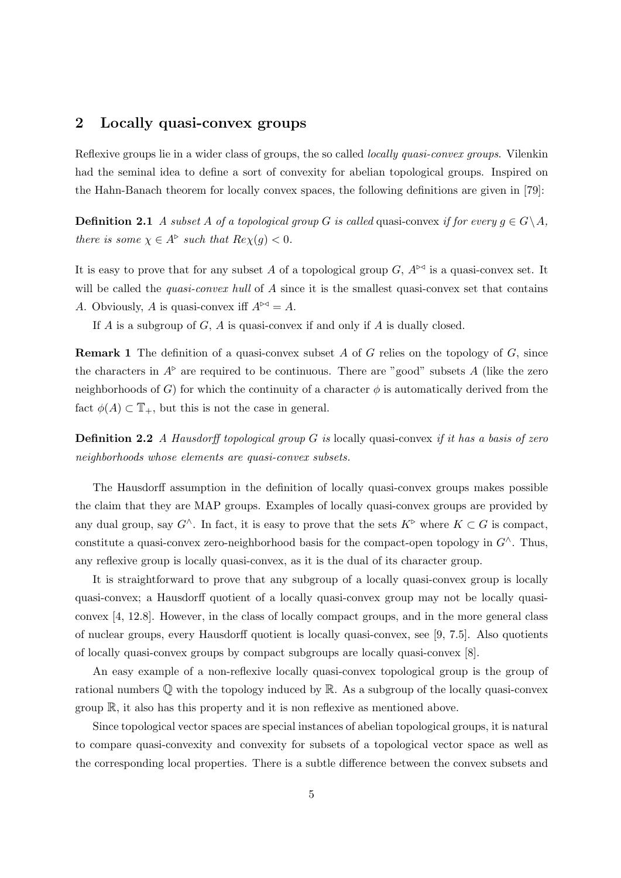## 2 Locally quasi-convex groups

Reflexive groups lie in a wider class of groups, the so called *locally quasi-convex groups*. Vilenkin had the seminal idea to define a sort of convexity for abelian topological groups. Inspired on the Hahn-Banach theorem for locally convex spaces, the following definitions are given in [79]:

**Definition 2.1** A subset A of a topological group G is called quasi-convex if for every  $g \in G \backslash A$ , there is some  $\chi \in A^{\triangleright}$  such that  $Re \chi(g) < 0$ .

It is easy to prove that for any subset A of a topological group G,  $A^{\triangleright\triangleleft}$  is a quasi-convex set. It will be called the *quasi-convex hull* of A since it is the smallest quasi-convex set that contains A. Obviously, A is quasi-convex iff  $A^{\bowtie} = A$ .

If  $A$  is a subgroup of  $G$ ,  $A$  is quasi-convex if and only if  $A$  is dually closed.

**Remark 1** The definition of a quasi-convex subset A of G relies on the topology of  $G$ , since the characters in  $A^{\triangleright}$  are required to be continuous. There are "good" subsets A (like the zero neighborhoods of G) for which the continuity of a character  $\phi$  is automatically derived from the fact  $\phi(A) \subset \mathbb{T}_+$ , but this is not the case in general.

**Definition 2.2** A Hausdorff topological group  $G$  is locally quasi-convex if it has a basis of zero neighborhoods whose elements are quasi-convex subsets.

The Hausdorff assumption in the definition of locally quasi-convex groups makes possible the claim that they are MAP groups. Examples of locally quasi-convex groups are provided by any dual group, say  $G^{\wedge}$ . In fact, it is easy to prove that the sets  $K^{\triangleright}$  where  $K \subset G$  is compact, constitute a quasi-convex zero-neighborhood basis for the compact-open topology in  $G^{\wedge}$ . Thus, any reflexive group is locally quasi-convex, as it is the dual of its character group.

It is straightforward to prove that any subgroup of a locally quasi-convex group is locally quasi-convex; a Hausdorff quotient of a locally quasi-convex group may not be locally quasiconvex [4, 12.8]. However, in the class of locally compact groups, and in the more general class of nuclear groups, every Hausdorff quotient is locally quasi-convex, see [9, 7.5]. Also quotients of locally quasi-convex groups by compact subgroups are locally quasi-convex [8].

An easy example of a non-reflexive locally quasi-convex topological group is the group of rational numbers  $\mathbb Q$  with the topology induced by  $\mathbb R$ . As a subgroup of the locally quasi-convex group  $\mathbb{R}$ , it also has this property and it is non reflexive as mentioned above.

Since topological vector spaces are special instances of abelian topological groups, it is natural to compare quasi-convexity and convexity for subsets of a topological vector space as well as the corresponding local properties. There is a subtle difference between the convex subsets and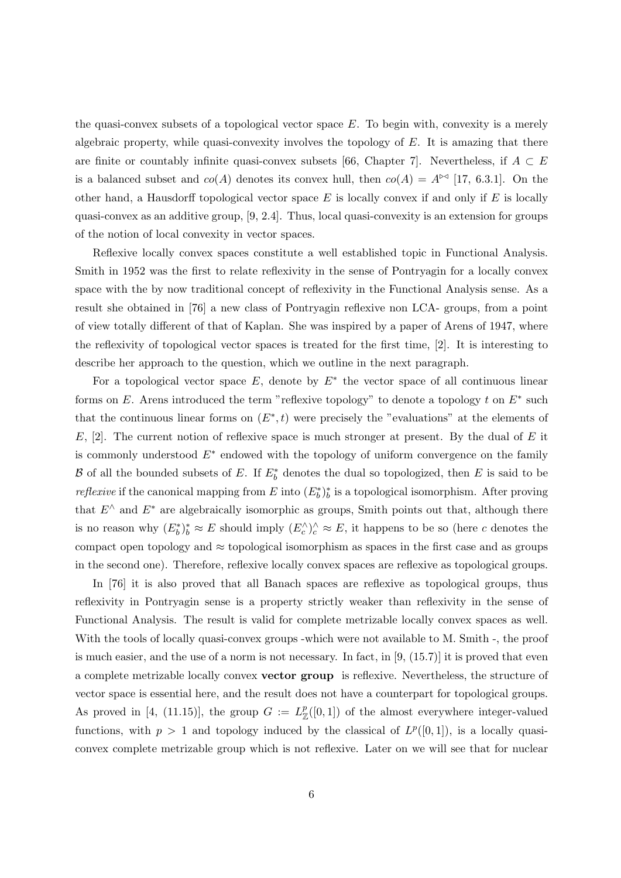the quasi-convex subsets of a topological vector space  $E$ . To begin with, convexity is a merely algebraic property, while quasi-convexity involves the topology of  $E$ . It is amazing that there are finite or countably infinite quasi-convex subsets [66, Chapter 7]. Nevertheless, if  $A \subset E$ is a balanced subset and  $co(A)$  denotes its convex hull, then  $co(A) = A^{\bowtie}$  [17, 6.3.1]. On the other hand, a Hausdorff topological vector space  $E$  is locally convex if and only if  $E$  is locally quasi-convex as an additive group, [9, 2.4]. Thus, local quasi-convexity is an extension for groups of the notion of local convexity in vector spaces.

Reflexive locally convex spaces constitute a well established topic in Functional Analysis. Smith in 1952 was the first to relate reflexivity in the sense of Pontryagin for a locally convex space with the by now traditional concept of reflexivity in the Functional Analysis sense. As a result she obtained in [76] a new class of Pontryagin reflexive non LCA- groups, from a point of view totally different of that of Kaplan. She was inspired by a paper of Arens of 1947, where the reflexivity of topological vector spaces is treated for the first time, [2]. It is interesting to describe her approach to the question, which we outline in the next paragraph.

For a topological vector space  $E$ , denote by  $E^*$  the vector space of all continuous linear forms on E. Arens introduced the term "reflexive topology" to denote a topology  $t$  on  $E^*$  such that the continuous linear forms on  $(E^*, t)$  were precisely the "evaluations" at the elements of  $E$ , [2]. The current notion of reflexive space is much stronger at present. By the dual of  $E$  it is commonly understood  $E^*$  endowed with the topology of uniform convergence on the family B of all the bounded subsets of E. If  $E_b^*$  denotes the dual so topologized, then E is said to be *reflexive* if the canonical mapping from E into  $(E_b^*)^*_b$  is a topological isomorphism. After proving that  $E^{\wedge}$  and  $E^*$  are algebraically isomorphic as groups, Smith points out that, although there is no reason why  $(E_b^*)^*_b \approx E$  should imply  $(E_c^{\wedge})^{\wedge}_c \approx E$ , it happens to be so (here c denotes the compact open topology and  $\approx$  topological isomorphism as spaces in the first case and as groups in the second one). Therefore, reflexive locally convex spaces are reflexive as topological groups.

In [76] it is also proved that all Banach spaces are reflexive as topological groups, thus reflexivity in Pontryagin sense is a property strictly weaker than reflexivity in the sense of Functional Analysis. The result is valid for complete metrizable locally convex spaces as well. With the tools of locally quasi-convex groups -which were not available to M. Smith -, the proof is much easier, and the use of a norm is not necessary. In fact, in  $[9, (15.7)]$  it is proved that even a complete metrizable locally convex vector group is reflexive. Nevertheless, the structure of vector space is essential here, and the result does not have a counterpart for topological groups. As proved in [4, (11.15)], the group  $G := L^p_{\mathbb{Z}}([0,1])$  of the almost everywhere integer-valued functions, with  $p > 1$  and topology induced by the classical of  $L^p([0,1])$ , is a locally quasiconvex complete metrizable group which is not reflexive. Later on we will see that for nuclear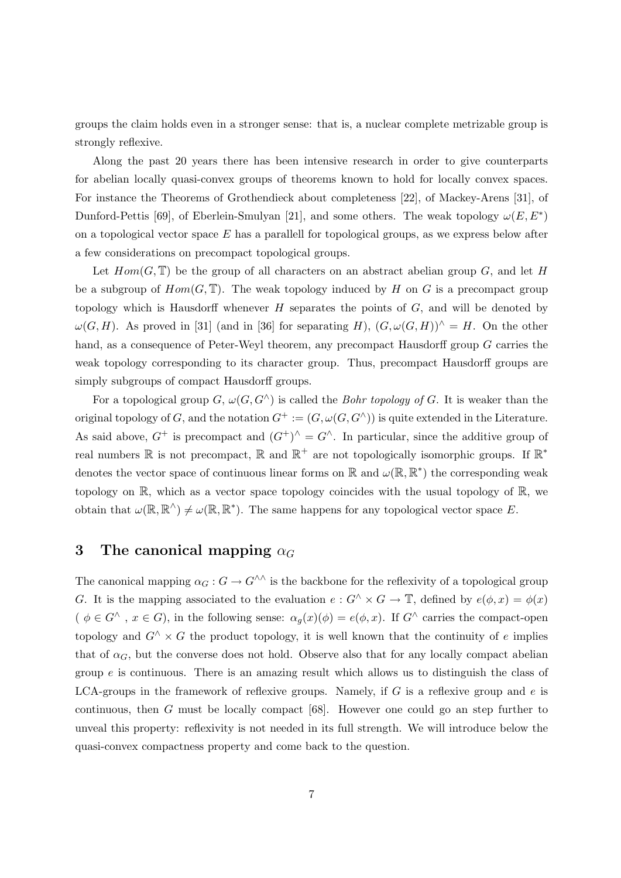groups the claim holds even in a stronger sense: that is, a nuclear complete metrizable group is strongly reflexive.

Along the past 20 years there has been intensive research in order to give counterparts for abelian locally quasi-convex groups of theorems known to hold for locally convex spaces. For instance the Theorems of Grothendieck about completeness [22], of Mackey-Arens [31], of Dunford-Pettis [69], of Eberlein-Smulyan [21], and some others. The weak topology  $\omega(E, E^*)$ on a topological vector space  $E$  has a parallell for topological groups, as we express below after a few considerations on precompact topological groups.

Let  $Hom(G, \mathbb{T})$  be the group of all characters on an abstract abelian group G, and let H be a subgroup of  $Hom(G, \mathbb{T})$ . The weak topology induced by H on G is a precompact group topology which is Hausdorff whenever  $H$  separates the points of  $G$ , and will be denoted by  $\omega(G, H)$ . As proved in [31] (and in [36] for separating H),  $(G, \omega(G, H))^{\wedge} = H$ . On the other hand, as a consequence of Peter-Weyl theorem, any precompact Hausdorff group G carries the weak topology corresponding to its character group. Thus, precompact Hausdorff groups are simply subgroups of compact Hausdorff groups.

For a topological group  $G, \omega(G, G^{\wedge})$  is called the *Bohr topology of G*. It is weaker than the original topology of G, and the notation  $G^+ := (G, \omega(G, G^{\wedge}))$  is quite extended in the Literature. As said above,  $G^+$  is precompact and  $(G^+)^\wedge = G^\wedge$ . In particular, since the additive group of real numbers  $\mathbb R$  is not precompact,  $\mathbb R$  and  $\mathbb R^+$  are not topologically isomorphic groups. If  $\mathbb R^*$ denotes the vector space of continuous linear forms on  $\mathbb R$  and  $\omega(\mathbb R,\mathbb R^*)$  the corresponding weak topology on  $\mathbb{R}$ , which as a vector space topology coincides with the usual topology of  $\mathbb{R}$ , we obtain that  $\omega(\mathbb{R}, \mathbb{R}^N) \neq \omega(\mathbb{R}, \mathbb{R}^*)$ . The same happens for any topological vector space E.

## 3 The canonical mapping  $\alpha_G$

The canonical mapping  $\alpha_G : G \to G^{\wedge\wedge}$  is the backbone for the reflexivity of a topological group G. It is the mapping associated to the evaluation  $e: G^{\wedge} \times G \to \mathbb{T}$ , defined by  $e(\phi, x) = \phi(x)$  $(\phi \in G^{\wedge}, x \in G)$ , in the following sense:  $\alpha_q(x)(\phi) = e(\phi, x)$ . If  $G^{\wedge}$  carries the compact-open topology and  $G^{\wedge} \times G$  the product topology, it is well known that the continuity of e implies that of  $\alpha$ <sub>G</sub>, but the converse does not hold. Observe also that for any locally compact abelian group  $e$  is continuous. There is an amazing result which allows us to distinguish the class of LCA-groups in the framework of reflexive groups. Namely, if  $G$  is a reflexive group and  $e$  is continuous, then G must be locally compact [68]. However one could go an step further to unveal this property: reflexivity is not needed in its full strength. We will introduce below the quasi-convex compactness property and come back to the question.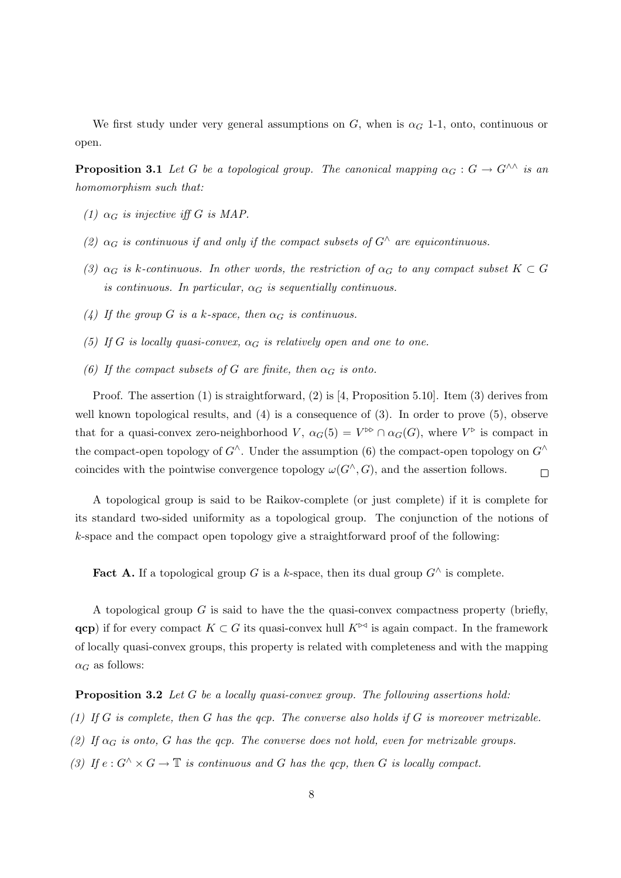We first study under very general assumptions on G, when is  $\alpha_G$  1-1, onto, continuous or open.

**Proposition 3.1** Let G be a topological group. The canonical mapping  $\alpha_G : G \to G^{\wedge\wedge}$  is an homomorphism such that:

- (1)  $\alpha_G$  is injective iff G is MAP.
- (2)  $\alpha_G$  is continuous if and only if the compact subsets of  $G^{\wedge}$  are equicontinuous.
- (3)  $\alpha_G$  is k-continuous. In other words, the restriction of  $\alpha_G$  to any compact subset  $K \subset G$ is continuous. In particular,  $\alpha_G$  is sequentially continuous.
- (4) If the group G is a k-space, then  $\alpha_G$  is continuous.
- (5) If G is locally quasi-convex,  $\alpha_G$  is relatively open and one to one.
- (6) If the compact subsets of G are finite, then  $\alpha_G$  is onto.

Proof. The assertion (1) is straightforward, (2) is [4, Proposition 5.10]. Item (3) derives from well known topological results, and (4) is a consequence of (3). In order to prove (5), observe that for a quasi-convex zero-neighborhood  $V, \alpha_G(5) = V^{\bowtie} \cap \alpha_G(G)$ , where  $V^{\bowtie}$  is compact in the compact-open topology of  $G^{\wedge}$ . Under the assumption (6) the compact-open topology on  $G^{\wedge}$ coincides with the pointwise convergence topology  $\omega(G^{\wedge}, G)$ , and the assertion follows.  $\Box$ 

A topological group is said to be Raikov-complete (or just complete) if it is complete for its standard two-sided uniformity as a topological group. The conjunction of the notions of k-space and the compact open topology give a straightforward proof of the following:

Fact A. If a topological group G is a k-space, then its dual group  $G^{\wedge}$  is complete.

A topological group  $G$  is said to have the the quasi-convex compactness property (briefly, **qcp**) if for every compact  $K \subset G$  its quasi-convex hull  $K^{\triangleright\triangleleft}$  is again compact. In the framework of locally quasi-convex groups, this property is related with completeness and with the mapping  $\alpha_G$  as follows:

Proposition 3.2 Let G be a locally quasi-convex group. The following assertions hold:

- (1) If G is complete, then G has the qcp. The converse also holds if G is moreover metrizable.
- (2) If  $\alpha_G$  is onto, G has the qcp. The converse does not hold, even for metrizable groups.
- (3) If  $e: G^{\wedge} \times G \to \mathbb{T}$  is continuous and G has the qcp, then G is locally compact.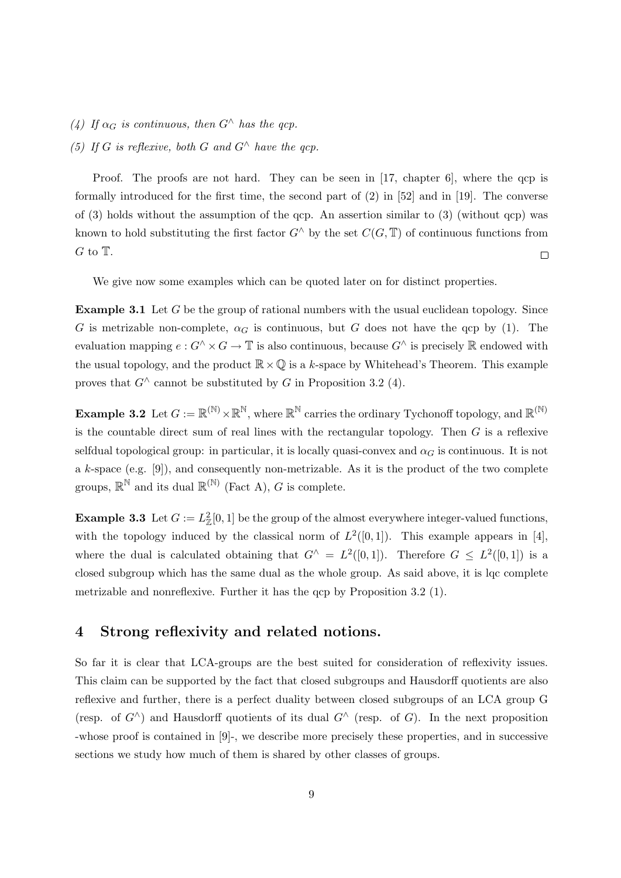- (4) If  $\alpha_G$  is continuous, then  $G^{\wedge}$  has the qcp.
- (5) If G is reflexive, both G and  $G^{\wedge}$  have the acp.

Proof. The proofs are not hard. They can be seen in [17, chapter 6], where the qcp is formally introduced for the first time, the second part of (2) in [52] and in [19]. The converse of  $(3)$  holds without the assumption of the qcp. An assertion similar to  $(3)$  (without qcp) was known to hold substituting the first factor  $G^{\wedge}$  by the set  $C(G,\mathbb{T})$  of continuous functions from  $G$  to  $T$ .  $\Box$ 

We give now some examples which can be quoted later on for distinct properties.

Example 3.1 Let G be the group of rational numbers with the usual euclidean topology. Since G is metrizable non-complete,  $\alpha_G$  is continuous, but G does not have the qcp by (1). The evaluation mapping  $e: G^{\wedge} \times G \to \mathbb{T}$  is also continuous, because  $G^{\wedge}$  is precisely  $\mathbb R$  endowed with the usual topology, and the product  $\mathbb{R}\times\mathbb{Q}$  is a k-space by Whitehead's Theorem. This example proves that  $G^{\wedge}$  cannot be substituted by G in Proposition 3.2 (4).

**Example 3.2** Let  $G := \mathbb{R}^{(\mathbb{N})} \times \mathbb{R}^{\mathbb{N}}$ , where  $\mathbb{R}^{\mathbb{N}}$  carries the ordinary Tychonoff topology, and  $\mathbb{R}^{(\mathbb{N})}$ is the countable direct sum of real lines with the rectangular topology. Then  $G$  is a reflexive selfdual topological group: in particular, it is locally quasi-convex and  $\alpha<sub>G</sub>$  is continuous. It is not a k-space (e.g. [9]), and consequently non-metrizable. As it is the product of the two complete groups,  $\mathbb{R}^{\mathbb{N}}$  and its dual  $\mathbb{R}^{(\mathbb{N})}$  (Fact A), G is complete.

**Example 3.3** Let  $G := L^2_{\mathbb{Z}}[0,1]$  be the group of the almost everywhere integer-valued functions, with the topology induced by the classical norm of  $L^2([0,1])$ . This example appears in [4], where the dual is calculated obtaining that  $G^{\wedge} = L^2([0,1])$ . Therefore  $G \leq L^2([0,1])$  is a closed subgroup which has the same dual as the whole group. As said above, it is lqc complete metrizable and nonreflexive. Further it has the qcp by Proposition 3.2 (1).

## 4 Strong reflexivity and related notions.

So far it is clear that LCA-groups are the best suited for consideration of reflexivity issues. This claim can be supported by the fact that closed subgroups and Hausdorff quotients are also reflexive and further, there is a perfect duality between closed subgroups of an LCA group G (resp. of  $G^{\wedge}$ ) and Hausdorff quotients of its dual  $G^{\wedge}$  (resp. of G). In the next proposition -whose proof is contained in [9]-, we describe more precisely these properties, and in successive sections we study how much of them is shared by other classes of groups.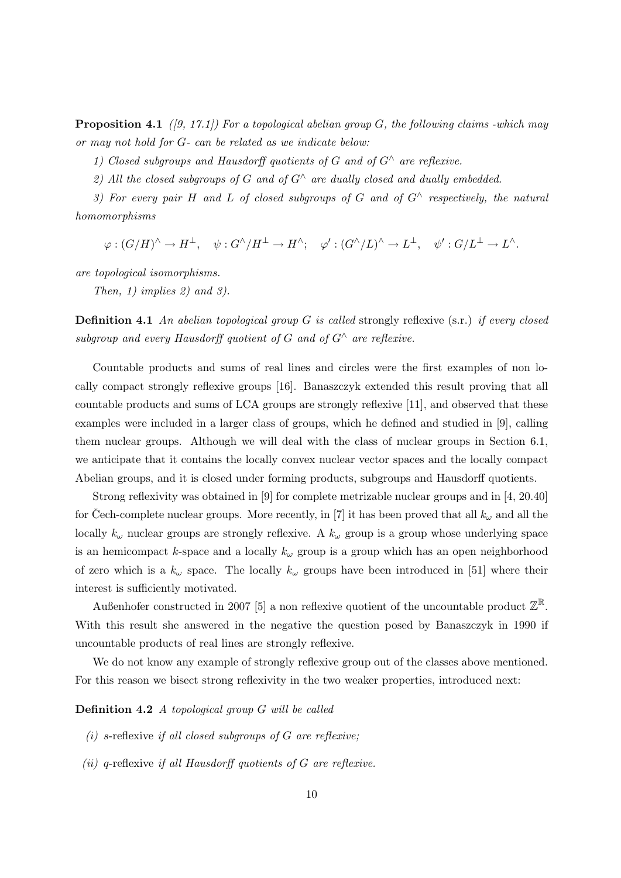**Proposition 4.1** ([9, 17.1]) For a topological abelian group G, the following claims -which may or may not hold for G- can be related as we indicate below:

1) Closed subgroups and Hausdorff quotients of G and of  $G^{\wedge}$  are reflexive.

2) All the closed subgroups of G and of  $G^{\wedge}$  are dually closed and dually embedded.

3) For every pair H and L of closed subgroups of G and of  $G^{\wedge}$  respectively, the natural homomorphisms

 $\varphi:(G/H)^{\wedge}\to H^{\perp},\quad \psi:G^{\wedge}/H^{\perp}\to H^{\wedge};\quad \varphi':(G^{\wedge}/L)^{\wedge}\to L^{\perp},\quad \psi':G/L^{\perp}\to L^{\wedge}.$ 

are topological isomorphisms.

Then, 1) implies 2) and 3).

**Definition 4.1** An abelian topological group G is called strongly reflexive  $(s.r.)$  if every closed subgroup and every Hausdorff quotient of G and of  $G^{\wedge}$  are reflexive.

Countable products and sums of real lines and circles were the first examples of non locally compact strongly reflexive groups [16]. Banaszczyk extended this result proving that all countable products and sums of LCA groups are strongly reflexive [11], and observed that these examples were included in a larger class of groups, which he defined and studied in [9], calling them nuclear groups. Although we will deal with the class of nuclear groups in Section 6.1, we anticipate that it contains the locally convex nuclear vector spaces and the locally compact Abelian groups, and it is closed under forming products, subgroups and Hausdorff quotients.

Strong reflexivity was obtained in [9] for complete metrizable nuclear groups and in [4, 20.40] for Cech-complete nuclear groups. More recently, in [7] it has been proved that all  $k_{\omega}$  and all the locally  $k_{\omega}$  nuclear groups are strongly reflexive. A  $k_{\omega}$  group is a group whose underlying space is an hemicompact k-space and a locally  $k_{\omega}$  group is a group which has an open neighborhood of zero which is a  $k_{\omega}$  space. The locally  $k_{\omega}$  groups have been introduced in [51] where their interest is sufficiently motivated.

Außenhofer constructed in 2007 [5] a non reflexive quotient of the uncountable product  $\mathbb{Z}^{\mathbb{R}}$ . With this result she answered in the negative the question posed by Banaszczyk in 1990 if uncountable products of real lines are strongly reflexive.

We do not know any example of strongly reflexive group out of the classes above mentioned. For this reason we bisect strong reflexivity in the two weaker properties, introduced next:

#### Definition 4.2 A topological group G will be called

- (i) s-reflexive if all closed subgroups of  $G$  are reflexive;
- (ii) q-reflexive if all Hausdorff quotients of  $G$  are reflexive.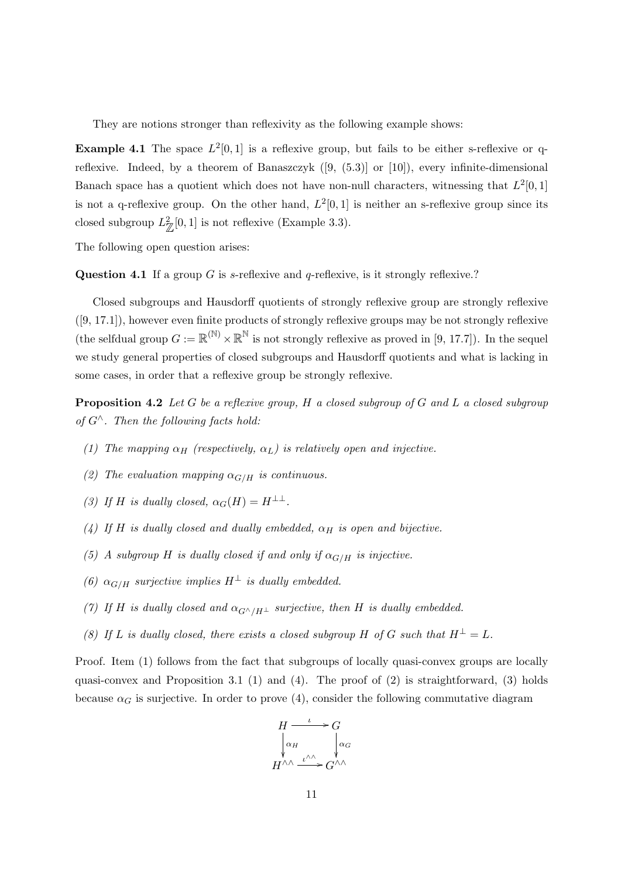They are notions stronger than reflexivity as the following example shows:

**Example 4.1** The space  $L^2[0,1]$  is a reflexive group, but fails to be either s-reflexive or qreflexive. Indeed, by a theorem of Banaszczyk ([9, (5.3)] or [10]), every infinite-dimensional Banach space has a quotient which does not have non-null characters, witnessing that  $L^2[0,1]$ is not a q-reflexive group. On the other hand,  $L^2[0,1]$  is neither an s-reflexive group since its closed subgroup  $L^2_{\mathbb{Z}}[0,1]$  is not reflexive (Example 3.3).

The following open question arises:

Question 4.1 If a group G is s-reflexive and q-reflexive, is it strongly reflexive.?

Closed subgroups and Hausdorff quotients of strongly reflexive group are strongly reflexive ([9, 17.1]), however even finite products of strongly reflexive groups may be not strongly reflexive (the selfdual group  $G := \mathbb{R}^{(\mathbb{N})} \times \mathbb{R}^{\mathbb{N}}$  is not strongly reflexive as proved in [9, 17.7]). In the sequel we study general properties of closed subgroups and Hausdorff quotients and what is lacking in some cases, in order that a reflexive group be strongly reflexive.

**Proposition 4.2** Let G be a reflexive group, H a closed subgroup of G and L a closed subgroup of  $G^{\wedge}$ . Then the following facts hold:

- (1) The mapping  $\alpha_H$  (respectively,  $\alpha_L$ ) is relatively open and injective.
- (2) The evaluation mapping  $\alpha_{G/H}$  is continuous.
- (3) If H is dually closed,  $\alpha_G(H) = H^{\perp \perp}$ .
- (4) If H is dually closed and dually embedded,  $\alpha_H$  is open and bijective.
- (5) A subgroup H is dually closed if and only if  $\alpha_{G/H}$  is injective.
- (6)  $\alpha_{G/H}$  surjective implies  $H^{\perp}$  is dually embedded.
- (7) If H is dually closed and  $\alpha_{G^\wedge/H^\perp}$  surjective, then H is dually embedded.
- (8) If L is dually closed, there exists a closed subgroup H of G such that  $H^{\perp} = L$ .

Proof. Item (1) follows from the fact that subgroups of locally quasi-convex groups are locally quasi-convex and Proposition 3.1 (1) and (4). The proof of  $(2)$  is straightforward,  $(3)$  holds because  $\alpha_G$  is surjective. In order to prove (4), consider the following commutative diagram

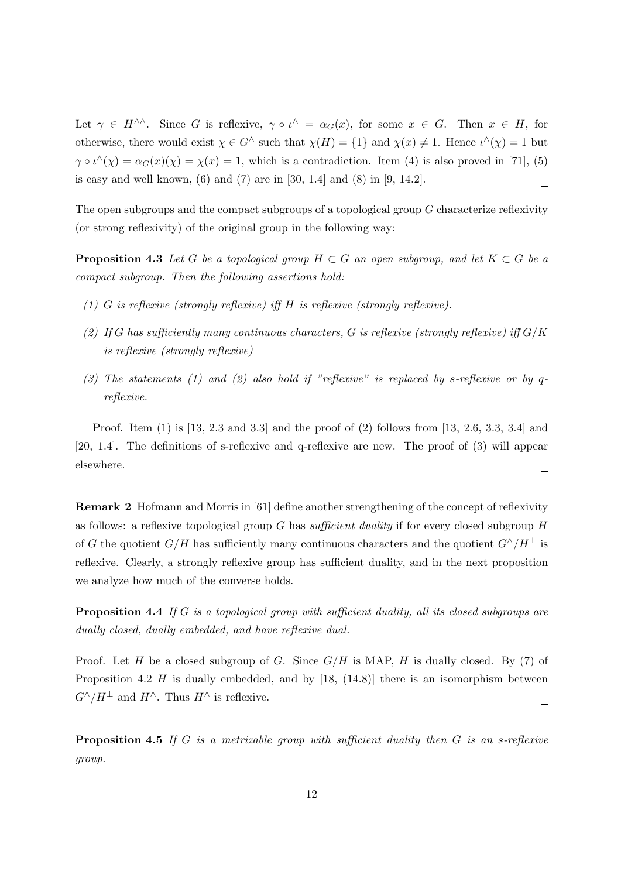Let  $\gamma \in H^{\wedge\wedge}$ . Since G is reflexive,  $\gamma \circ \iota^{\wedge} = \alpha_G(x)$ , for some  $x \in G$ . Then  $x \in H$ , for otherwise, there would exist  $\chi \in G^{\wedge}$  such that  $\chi(H) = \{1\}$  and  $\chi(x) \neq 1$ . Hence  $\iota^{\wedge}(\chi) = 1$  but  $\gamma \circ \iota^{\wedge}(\chi) = \alpha_G(x)(\chi) = \chi(x) = 1$ , which is a contradiction. Item (4) is also proved in [71], (5) is easy and well known, (6) and (7) are in [30, 1.4] and (8) in [9, 14.2].  $\Box$ 

The open subgroups and the compact subgroups of a topological group G characterize reflexivity (or strong reflexivity) of the original group in the following way:

**Proposition 4.3** Let G be a topological group  $H \subset G$  an open subgroup, and let  $K \subset G$  be a compact subgroup. Then the following assertions hold:

- (1) G is reflexive (strongly reflexive) iff H is reflexive (strongly reflexive).
- (2) If G has sufficiently many continuous characters, G is reflexive (strongly reflexive) iff  $G/K$ is reflexive (strongly reflexive)
- (3) The statements (1) and (2) also hold if "reflexive" is replaced by s-reflexive or by qreflexive.

Proof. Item (1) is [13, 2.3 and 3.3] and the proof of (2) follows from [13, 2.6, 3.3, 3.4] and [20, 1.4]. The definitions of s-reflexive and q-reflexive are new. The proof of (3) will appear elsewhere.  $\Box$ 

Remark 2 Hofmann and Morris in [61] define another strengthening of the concept of reflexivity as follows: a reflexive topological group G has sufficient duality if for every closed subgroup  $H$ of G the quotient  $G/H$  has sufficiently many continuous characters and the quotient  $G^{\wedge}/H^{\perp}$  is reflexive. Clearly, a strongly reflexive group has sufficient duality, and in the next proposition we analyze how much of the converse holds.

Proposition 4.4 If G is a topological group with sufficient duality, all its closed subgroups are dually closed, dually embedded, and have reflexive dual.

Proof. Let H be a closed subgroup of G. Since  $G/H$  is MAP, H is dually closed. By (7) of Proposition 4.2 H is dually embedded, and by  $[18, (14.8)]$  there is an isomorphism between  $G^{\wedge}/H^{\perp}$  and  $H^{\wedge}$ . Thus  $H^{\wedge}$  is reflexive.  $\Box$ 

**Proposition 4.5** If G is a metrizable group with sufficient duality then  $G$  is an s-reflexive group.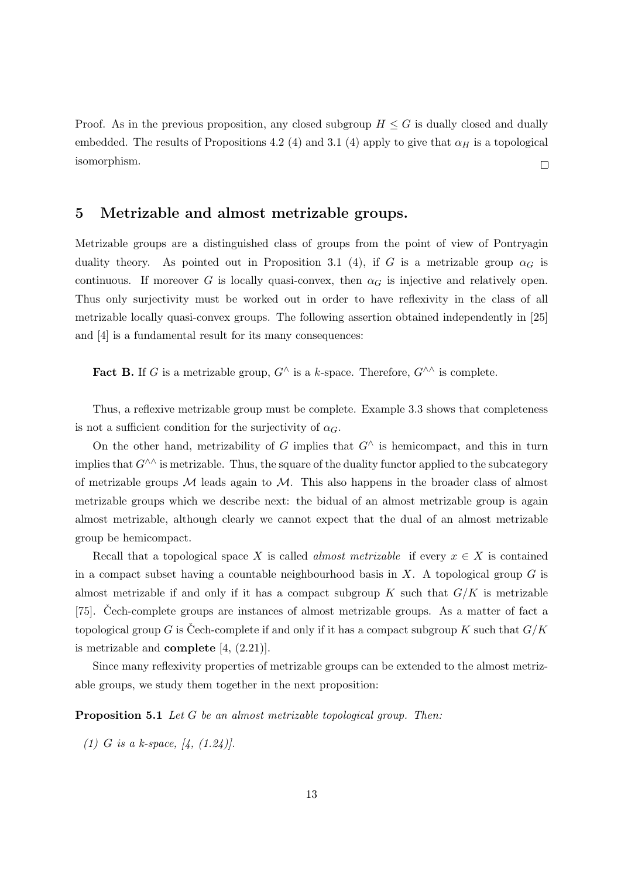Proof. As in the previous proposition, any closed subgroup  $H \leq G$  is dually closed and dually embedded. The results of Propositions 4.2 (4) and 3.1 (4) apply to give that  $\alpha_H$  is a topological isomorphism.  $\Box$ 

### 5 Metrizable and almost metrizable groups.

Metrizable groups are a distinguished class of groups from the point of view of Pontryagin duality theory. As pointed out in Proposition 3.1 (4), if G is a metrizable group  $\alpha_G$  is continuous. If moreover G is locally quasi-convex, then  $\alpha_G$  is injective and relatively open. Thus only surjectivity must be worked out in order to have reflexivity in the class of all metrizable locally quasi-convex groups. The following assertion obtained independently in [25] and [4] is a fundamental result for its many consequences:

**Fact B.** If G is a metrizable group,  $G^{\wedge}$  is a k-space. Therefore,  $G^{\wedge\wedge}$  is complete.

Thus, a reflexive metrizable group must be complete. Example 3.3 shows that completeness is not a sufficient condition for the surjectivity of  $\alpha_G$ .

On the other hand, metrizability of G implies that  $G^{\wedge}$  is hemicompact, and this in turn implies that  $G^{\wedge\wedge}$  is metrizable. Thus, the square of the duality functor applied to the subcategory of metrizable groups  $M$  leads again to  $M$ . This also happens in the broader class of almost metrizable groups which we describe next: the bidual of an almost metrizable group is again almost metrizable, although clearly we cannot expect that the dual of an almost metrizable group be hemicompact.

Recall that a topological space X is called *almost metrizable* if every  $x \in X$  is contained in a compact subset having a countable neighbourhood basis in  $X$ . A topological group  $G$  is almost metrizable if and only if it has a compact subgroup K such that  $G/K$  is metrizable [75]. Cech-complete groups are instances of almost metrizable groups. As a matter of fact a topological group G is Cech-complete if and only if it has a compact subgroup K such that  $G/K$ is metrizable and **complete**  $[4, (2.21)]$ .

Since many reflexivity properties of metrizable groups can be extended to the almost metrizable groups, we study them together in the next proposition:

Proposition 5.1 Let G be an almost metrizable topological group. Then:

(1) G is a k-space,  $[4, (1.24)]$ .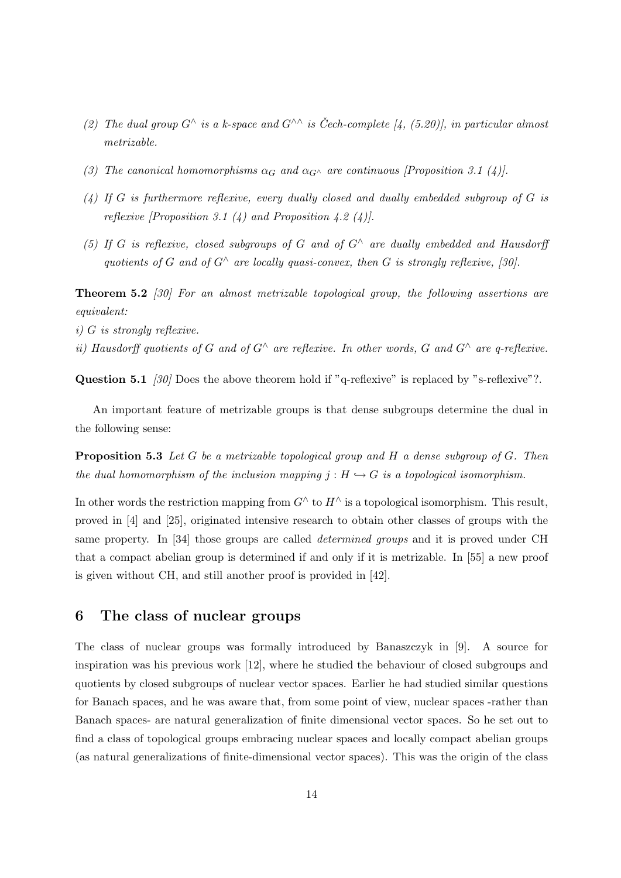- (2) The dual group  $G^{\wedge}$  is a k-space and  $G^{\wedge}$  is Čech-complete [4, (5.20)], in particular almost metrizable.
- (3) The canonical homomorphisms  $\alpha_G$  and  $\alpha_{G^{\wedge}}$  are continuous [Proposition 3.1 (4)].
- $(4)$  If G is furthermore reflexive, every dually closed and dually embedded subgroup of G is reflexive [Proposition 3.1  $(4)$  and Proposition 4.2  $(4)$ ].
- (5) If G is reflexive, closed subgroups of G and of  $G^{\wedge}$  are dually embedded and Hausdorff quotients of G and of  $G^{\wedge}$  are locally quasi-convex, then G is strongly reflexive, [30].

Theorem 5.2 [30] For an almost metrizable topological group, the following assertions are equivalent:

- i) G is strongly reflexive.
- ii) Hausdorff quotients of G and of  $G^{\wedge}$  are reflexive. In other words, G and  $G^{\wedge}$  are q-reflexive.

Question 5.1 [30] Does the above theorem hold if "q-reflexive" is replaced by "s-reflexive"?.

An important feature of metrizable groups is that dense subgroups determine the dual in the following sense:

**Proposition 5.3** Let G be a metrizable topological group and H a dense subgroup of G. Then the dual homomorphism of the inclusion mapping  $j : H \hookrightarrow G$  is a topological isomorphism.

In other words the restriction mapping from  $G^{\wedge}$  to  $H^{\wedge}$  is a topological isomorphism. This result, proved in [4] and [25], originated intensive research to obtain other classes of groups with the same property. In [34] those groups are called determined groups and it is proved under CH that a compact abelian group is determined if and only if it is metrizable. In [55] a new proof is given without CH, and still another proof is provided in [42].

## 6 The class of nuclear groups

The class of nuclear groups was formally introduced by Banaszczyk in [9]. A source for inspiration was his previous work [12], where he studied the behaviour of closed subgroups and quotients by closed subgroups of nuclear vector spaces. Earlier he had studied similar questions for Banach spaces, and he was aware that, from some point of view, nuclear spaces -rather than Banach spaces- are natural generalization of finite dimensional vector spaces. So he set out to find a class of topological groups embracing nuclear spaces and locally compact abelian groups (as natural generalizations of finite-dimensional vector spaces). This was the origin of the class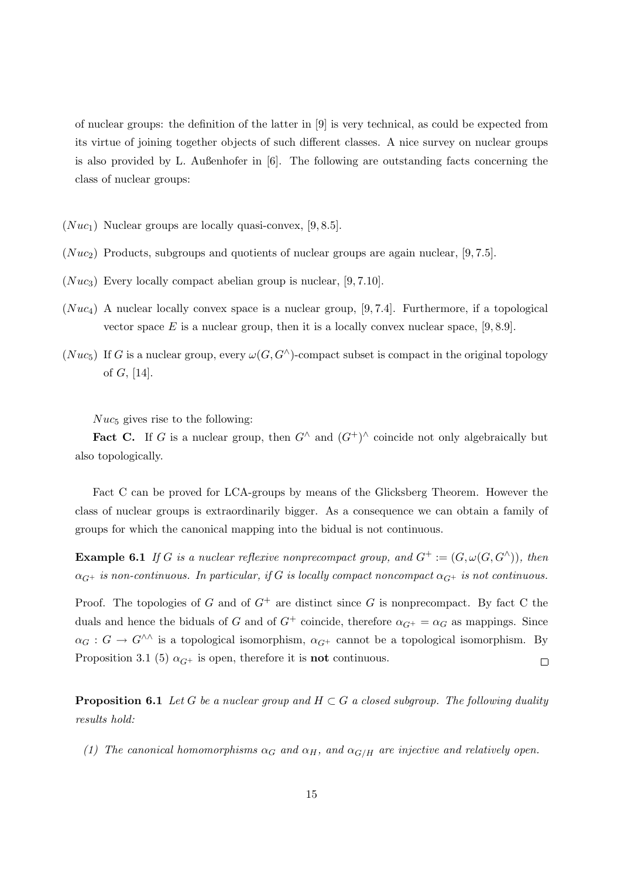of nuclear groups: the definition of the latter in [9] is very technical, as could be expected from its virtue of joining together objects of such different classes. A nice survey on nuclear groups is also provided by L. Außenhofer in [6]. The following are outstanding facts concerning the class of nuclear groups:

- $(Nu c_1)$  Nuclear groups are locally quasi-convex, [9, 8.5].
- $(Nuc_2)$  Products, subgroups and quotients of nuclear groups are again nuclear, [9, 7.5].
- $(Nuc_3)$  Every locally compact abelian group is nuclear, [9, 7.10].
- $(Nuc_4)$  A nuclear locally convex space is a nuclear group, [9, 7.4]. Furthermore, if a topological vector space E is a nuclear group, then it is a locally convex nuclear space,  $[9, 8.9]$ .
- (Nuc<sub>5</sub>) If G is a nuclear group, every  $\omega(G, G^{\wedge})$ -compact subset is compact in the original topology of G, [14].

 $Nuc_5$  gives rise to the following:

**Fact C.** If G is a nuclear group, then  $G^{\wedge}$  and  $(G^{\dagger})^{\wedge}$  coincide not only algebraically but also topologically.

Fact C can be proved for LCA-groups by means of the Glicksberg Theorem. However the class of nuclear groups is extraordinarily bigger. As a consequence we can obtain a family of groups for which the canonical mapping into the bidual is not continuous.

**Example 6.1** If G is a nuclear reflexive nonprecompact group, and  $G^+ := (G, \omega(G, G^{\wedge}))$ , then  $\alpha_{G^+}$  is non-continuous. In particular, if G is locally compact noncompact  $\alpha_{G^+}$  is not continuous.

Proof. The topologies of G and of  $G^+$  are distinct since G is nonprecompact. By fact C the duals and hence the biduals of G and of  $G^+$  coincide, therefore  $\alpha_{G^+} = \alpha_G$  as mappings. Since  $\alpha_G : G \to G^{\wedge \wedge}$  is a topological isomorphism,  $\alpha_{G^+}$  cannot be a topological isomorphism. By Proposition 3.1 (5)  $\alpha_{G^+}$  is open, therefore it is **not** continuous.  $\Box$ 

**Proposition 6.1** Let G be a nuclear group and  $H \subset G$  a closed subgroup. The following duality results hold:

(1) The canonical homomorphisms  $\alpha_G$  and  $\alpha_H$ , and  $\alpha_{G/H}$  are injective and relatively open.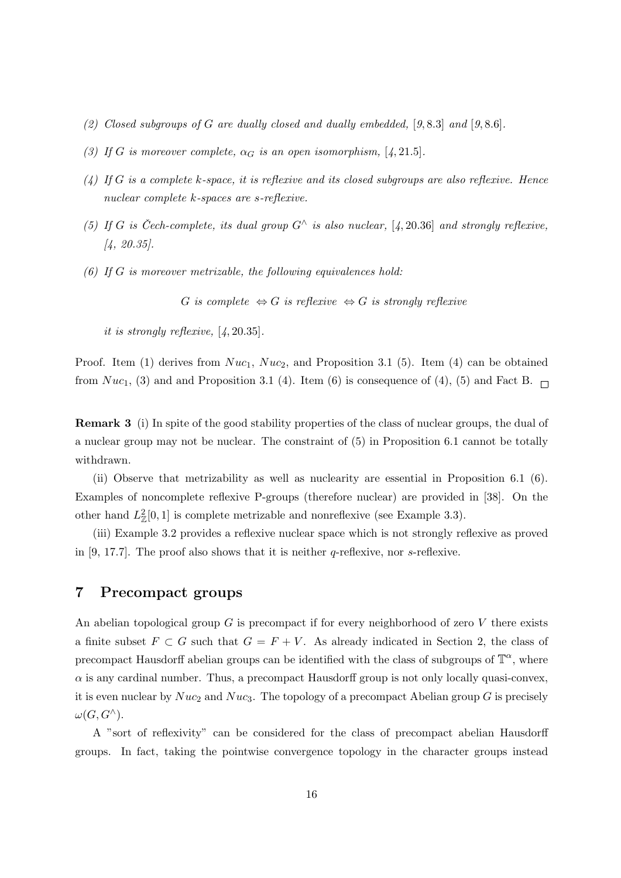- (2) Closed subgroups of G are dually closed and dually embedded,  $[9, 8.3]$  and  $[9, 8.6]$ .
- (3) If G is moreover complete,  $\alpha_G$  is an open isomorphism, [4, 21.5].
- $(4)$  If G is a complete k-space, it is reflexive and its closed subgroups are also reflexive. Hence nuclear complete k-spaces are s-reflexive.
- (5) If G is Čech-complete, its dual group  $G^{\wedge}$  is also nuclear, [4, 20.36] and strongly reflexive, [4, 20.35].
- (6) If G is moreover metrizable, the following equivalences hold:

G is complete  $\Leftrightarrow G$  is reflexive  $\Leftrightarrow G$  is strongly reflexive

it is strongly reflexive, [4, 20.35].

Proof. Item (1) derives from  $Nuc_1$ ,  $Nuc_2$ , and Proposition 3.1 (5). Item (4) can be obtained from  $Nuc_1$ , (3) and and Proposition 3.1 (4). Item (6) is consequence of (4), (5) and Fact B.

Remark 3 (i) In spite of the good stability properties of the class of nuclear groups, the dual of a nuclear group may not be nuclear. The constraint of (5) in Proposition 6.1 cannot be totally withdrawn.

(ii) Observe that metrizability as well as nuclearity are essential in Proposition 6.1 (6). Examples of noncomplete reflexive P-groups (therefore nuclear) are provided in [38]. On the other hand  $L^2_{\mathbb{Z}}[0,1]$  is complete metrizable and nonreflexive (see Example 3.3).

(iii) Example 3.2 provides a reflexive nuclear space which is not strongly reflexive as proved in  $[9, 17.7]$ . The proof also shows that it is neither q-reflexive, nor s-reflexive.

## 7 Precompact groups

An abelian topological group  $G$  is precompact if for every neighborhood of zero  $V$  there exists a finite subset  $F \subset G$  such that  $G = F + V$ . As already indicated in Section 2, the class of precompact Hausdorff abelian groups can be identified with the class of subgroups of  $\mathbb{T}^{\alpha}$ , where  $\alpha$  is any cardinal number. Thus, a precompact Hausdorff group is not only locally quasi-convex, it is even nuclear by  $Nuc_2$  and  $Nuc_3$ . The topology of a precompact Abelian group G is precisely  $\omega(G, G^{\wedge}).$ 

A "sort of reflexivity" can be considered for the class of precompact abelian Hausdorff groups. In fact, taking the pointwise convergence topology in the character groups instead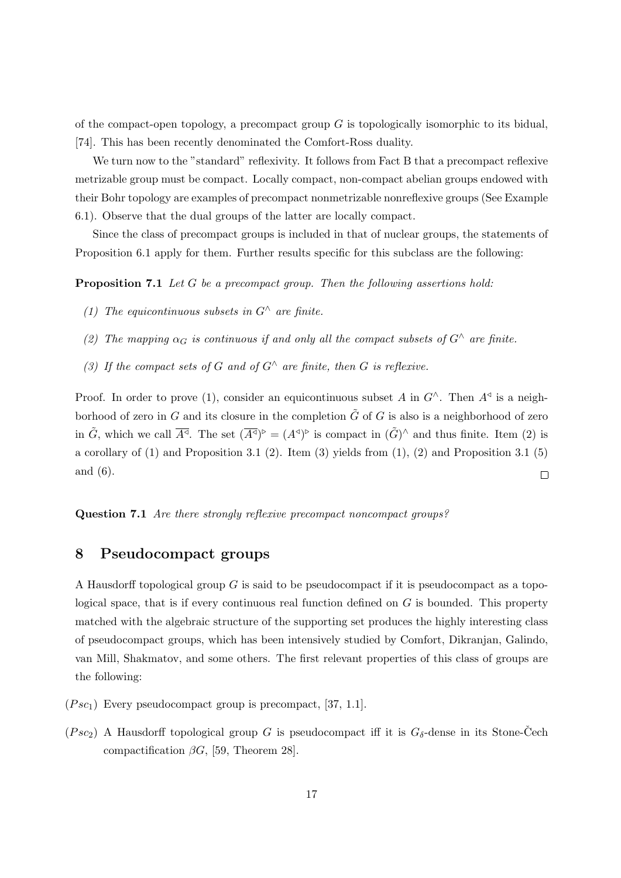of the compact-open topology, a precompact group  $G$  is topologically isomorphic to its bidual, [74]. This has been recently denominated the Comfort-Ross duality.

We turn now to the "standard" reflexivity. It follows from Fact B that a precompact reflexive metrizable group must be compact. Locally compact, non-compact abelian groups endowed with their Bohr topology are examples of precompact nonmetrizable nonreflexive groups (See Example 6.1). Observe that the dual groups of the latter are locally compact.

Since the class of precompact groups is included in that of nuclear groups, the statements of Proposition 6.1 apply for them. Further results specific for this subclass are the following:

**Proposition 7.1** Let G be a precompact group. Then the following assertions hold:

- (1) The equicontinuous subsets in  $G^{\wedge}$  are finite.
- (2) The mapping  $\alpha_G$  is continuous if and only all the compact subsets of  $G^{\wedge}$  are finite.
- (3) If the compact sets of G and of  $G^{\wedge}$  are finite, then G is reflexive.

Proof. In order to prove (1), consider an equicontinuous subset A in  $G^{\wedge}$ . Then  $A^{\triangleleft}$  is a neighborhood of zero in G and its closure in the completion  $\tilde{G}$  of G is also is a neighborhood of zero in  $\tilde{G}$ , which we call  $\overline{A^{\triangleleft}}$ . The set  $(\overline{A^{\triangleleft}})^{\triangleright} = (A^{\triangleleft})^{\triangleright}$  is compact in  $(\tilde{G})^{\wedge}$  and thus finite. Item (2) is a corollary of  $(1)$  and Proposition 3.1  $(2)$ . Item  $(3)$  yields from  $(1)$ ,  $(2)$  and Proposition 3.1  $(5)$ and (6).  $\Box$ 

Question 7.1 Are there strongly reflexive precompact noncompact groups?

### 8 Pseudocompact groups

A Hausdorff topological group G is said to be pseudocompact if it is pseudocompact as a topological space, that is if every continuous real function defined on  $G$  is bounded. This property matched with the algebraic structure of the supporting set produces the highly interesting class of pseudocompact groups, which has been intensively studied by Comfort, Dikranjan, Galindo, van Mill, Shakmatov, and some others. The first relevant properties of this class of groups are the following:

- $(Psc_1)$  Every pseudocompact group is precompact, [37, 1.1].
- $(Psc_2)$  A Hausdorff topological group G is pseudocompact iff it is  $G_{\delta}$ -dense in its Stone-Cech compactification  $\beta G$ , [59, Theorem 28].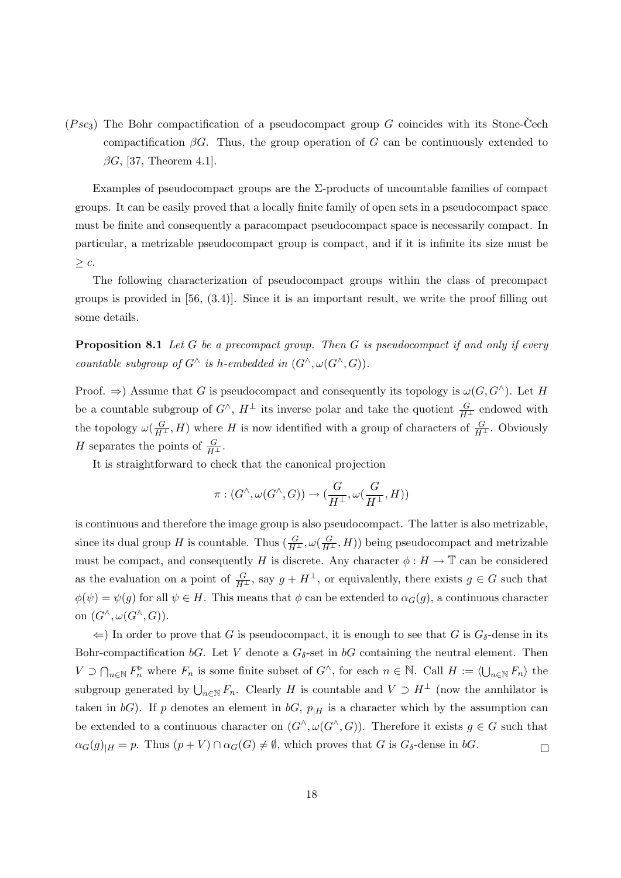(Psc<sub>3</sub>) The Bohr compactification of a pseudocompact group G coincides with its Stone-Čech compactification  $\beta G$ . Thus, the group operation of G can be continuously extended to  $\beta G$ , [37, Theorem 4.1].

Examples of pseudocompact groups are the  $\Sigma$ -products of uncountable families of compact groups. It can be easily proved that a locally finite family of open sets in a pseudocompact space must be finite and consequently a paracompact pseudocompact space is necessarily compact. In particular, a metrizable pseudocompact group is compact, and if it is infinite its size must be  $\geq c$ .

The following characterization of pseudocompact groups within the class of precompact groups is provided in [56, (3.4)]. Since it is an important result, we write the proof filling out some details.

**Proposition 8.1** Let G be a precompact group. Then G is pseudocompact if and only if every countable subgroup of  $G^{\wedge}$  is h-embedded in  $(G^{\wedge}, \omega(G^{\wedge}, G)).$ 

Proof.  $\Rightarrow$ ) Assume that G is pseudocompact and consequently its topology is  $\omega(G, G^{\wedge})$ . Let H be a countable subgroup of  $G^{\wedge}$ ,  $H^{\perp}$  its inverse polar and take the quotient  $\frac{G}{H^{\perp}}$  endowed with the topology  $\omega(\frac{G}{H^{\perp}}, H)$  where H is now identified with a group of characters of  $\frac{G}{H^{\perp}}$ . Obviously H separates the points of  $\frac{G}{H^{\perp}}$ .

It is straightforward to check that the canonical projection

$$
\pi : (G^{\wedge}, \omega(G^{\wedge}, G)) \to (\frac{G}{H^{\perp}}, \omega(\frac{G}{H^{\perp}}, H))
$$

is continuous and therefore the image group is also pseudocompact. The latter is also metrizable, since its dual group H is countable. Thus  $(\frac{G}{H^{\perp}}, \omega(\frac{G}{H^{\perp}}, H))$  being pseudocompact and metrizable must be compact, and consequently H is discrete. Any character  $\phi : H \to \mathbb{T}$  can be considered as the evaluation on a point of  $\frac{G}{H^{\perp}}$ , say  $g + H^{\perp}$ , or equivalently, there exists  $g \in G$  such that  $\phi(\psi) = \psi(g)$  for all  $\psi \in H$ . This means that  $\phi$  can be extended to  $\alpha_G(g)$ , a continuous character on  $(G^{\wedge}, \omega(G^{\wedge}, G)).$ 

 $\Leftarrow$ ) In order to prove that G is pseudocompact, it is enough to see that G is  $G_{\delta}$ -dense in its Bohr-compactification bG. Let V denote a  $G_{\delta}$ -set in bG containing the neutral element. Then  $V \supset \bigcap_{n\in\mathbb{N}} F_n^{\triangleright}$  where  $F_n$  is some finite subset of  $G^{\wedge}$ , for each  $n \in \mathbb{N}$ . Call  $H := \langle \bigcup_{n\in\mathbb{N}} F_n \rangle$  the subgroup generated by  $\bigcup_{n\in\mathbb{N}} F_n$ . Clearly H is countable and  $V \supset H^{\perp}$  (now the annhilator is taken in bG). If p denotes an element in bG,  $p_{|H}$  is a character which by the assumption can be extended to a continuous character on  $(G^{\wedge}, \omega(G^{\wedge}, G))$ . Therefore it exists  $g \in G$  such that  $\alpha_G(g)_{|H} = p$ . Thus  $(p+V) \cap \alpha_G(G) \neq \emptyset$ , which proves that G is  $G_\delta$ -dense in bG.  $\Box$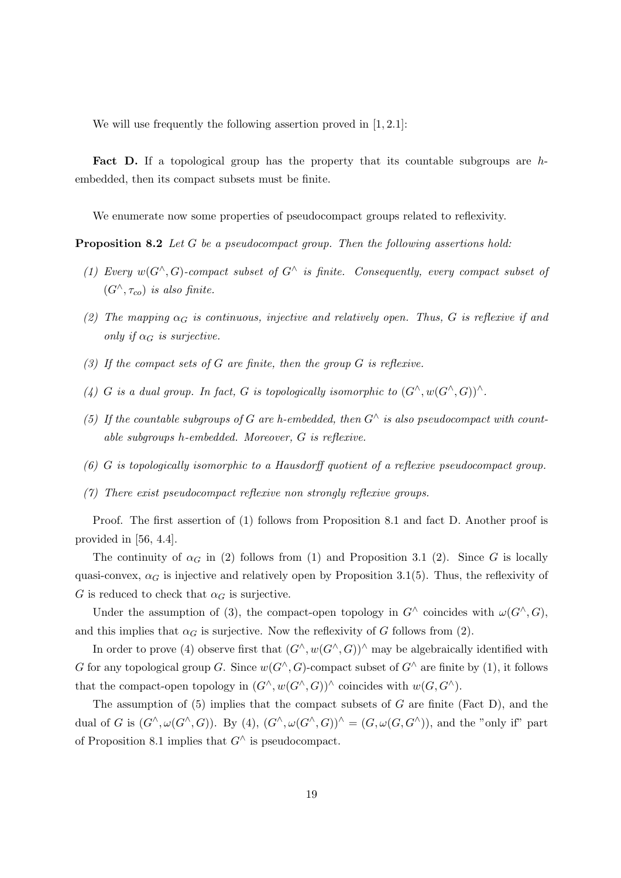We will use frequently the following assertion proved in [1, 2.1]:

Fact D. If a topological group has the property that its countable subgroups are hembedded, then its compact subsets must be finite.

We enumerate now some properties of pseudocompact groups related to reflexivity.

Proposition 8.2 Let G be a pseudocompact group. Then the following assertions hold:

- (1) Every  $w(G^{\wedge}, G)$ -compact subset of  $G^{\wedge}$  is finite. Consequently, every compact subset of  $(G^{\wedge}, \tau_{co})$  is also finite.
- (2) The mapping  $\alpha_G$  is continuous, injective and relatively open. Thus, G is reflexive if and only if  $\alpha_G$  is surjective.
- (3) If the compact sets of G are finite, then the group G is reflexive.
- (4) G is a dual group. In fact, G is topologically isomorphic to  $(G^{\wedge}, w(G^{\wedge}, G))^{\wedge}$ .
- (5) If the countable subgroups of G are h-embedded, then  $G^{\wedge}$  is also pseudocompact with countable subgroups h-embedded. Moreover, G is reflexive.
- (6) G is topologically isomorphic to a Hausdorff quotient of a reflexive pseudocompact group.
- (7) There exist pseudocompact reflexive non strongly reflexive groups.

Proof. The first assertion of (1) follows from Proposition 8.1 and fact D. Another proof is provided in [56, 4.4].

The continuity of  $\alpha_G$  in (2) follows from (1) and Proposition 3.1 (2). Since G is locally quasi-convex,  $\alpha_G$  is injective and relatively open by Proposition 3.1(5). Thus, the reflexivity of G is reduced to check that  $\alpha_G$  is surjective.

Under the assumption of (3), the compact-open topology in  $G^{\wedge}$  coincides with  $\omega(G^{\wedge}, G)$ , and this implies that  $\alpha_G$  is surjective. Now the reflexivity of G follows from (2).

In order to prove (4) observe first that  $(G^{\wedge}, w(G^{\wedge}, G))^{\wedge}$  may be algebraically identified with G for any topological group G. Since  $w(G^{\wedge}, G)$ -compact subset of  $G^{\wedge}$  are finite by (1), it follows that the compact-open topology in  $(G^{\wedge}, w(G^{\wedge}, G))^{\wedge}$  coincides with  $w(G, G^{\wedge})$ .

The assumption of (5) implies that the compact subsets of  $G$  are finite (Fact D), and the dual of G is  $(G^{\wedge}, \omega(G^{\wedge}, G))$ . By  $(4)$ ,  $(G^{\wedge}, \omega(G^{\wedge}, G))^{\wedge} = (G, \omega(G, G^{\wedge}))$ , and the "only if" part of Proposition 8.1 implies that  $G^{\wedge}$  is pseudocompact.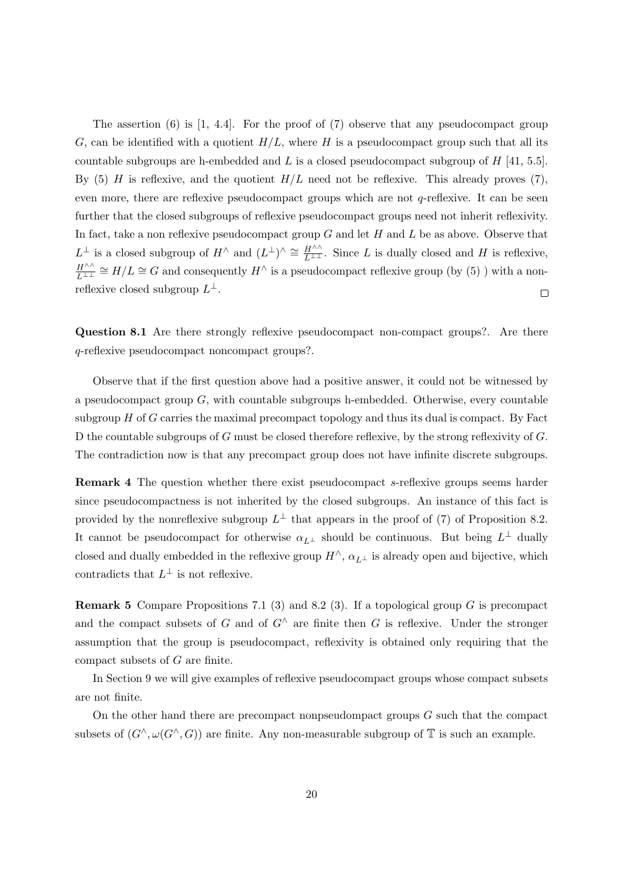The assertion  $(6)$  is  $[1, 4.4]$ . For the proof of  $(7)$  observe that any pseudocompact group G, can be identified with a quotient  $H/L$ , where H is a pseudocompact group such that all its countable subgroups are h-embedded and L is a closed pseudocompact subgroup of  $H$  [41, 5.5]. By (5) H is reflexive, and the quotient  $H/L$  need not be reflexive. This already proves (7), even more, there are reflexive pseudocompact groups which are not q-reflexive. It can be seen further that the closed subgroups of reflexive pseudocompact groups need not inherit reflexivity. In fact, take a non reflexive pseudocompact group  $G$  and let  $H$  and  $L$  be as above. Observe that  $L^{\perp}$  is a closed subgroup of  $H^{\wedge}$  and  $(L^{\perp})^{\wedge} \cong \frac{H^{\wedge\wedge}}{L^{\perp\perp}}$ . Since L is dually closed and H is reflexive,  $H^{\wedge\wedge}$  $\frac{H^{\wedge\wedge}}{L^{\perp\perp}}\cong H/L\cong G$  and consequently  $H^\wedge$  is a pseudocompact reflexive group (by (5)) with a nonreflexive closed subgroup  $L^{\perp}$ .  $\Box$ 

Question 8.1 Are there strongly reflexive pseudocompact non-compact groups?. Are there q-reflexive pseudocompact noncompact groups?.

Observe that if the first question above had a positive answer, it could not be witnessed by a pseudocompact group  $G$ , with countable subgroups h-embedded. Otherwise, every countable subgroup  $H$  of  $G$  carries the maximal precompact topology and thus its dual is compact. By Fact D the countable subgroups of G must be closed therefore reflexive, by the strong reflexivity of G. The contradiction now is that any precompact group does not have infinite discrete subgroups.

Remark 4 The question whether there exist pseudocompact s-reflexive groups seems harder since pseudocompactness is not inherited by the closed subgroups. An instance of this fact is provided by the nonreflexive subgroup  $L^{\perp}$  that appears in the proof of (7) of Proposition 8.2. It cannot be pseudocompact for otherwise  $\alpha_{L^{\perp}}$  should be continuous. But being  $L^{\perp}$  dually closed and dually embedded in the reflexive group  $H^{\wedge}$ ,  $\alpha_{L^{\perp}}$  is already open and bijective, which contradicts that  $L^{\perp}$  is not reflexive.

**Remark 5** Compare Propositions 7.1 (3) and 8.2 (3). If a topological group G is precompact and the compact subsets of G and of  $G^{\wedge}$  are finite then G is reflexive. Under the stronger assumption that the group is pseudocompact, reflexivity is obtained only requiring that the compact subsets of G are finite.

In Section 9 we will give examples of reflexive pseudocompact groups whose compact subsets are not finite.

On the other hand there are precompact nonpseudompact groups  $G$  such that the compact subsets of  $(G^{\wedge}, \omega(G^{\wedge}, G))$  are finite. Any non-measurable subgroup of  $\mathbb T$  is such an example.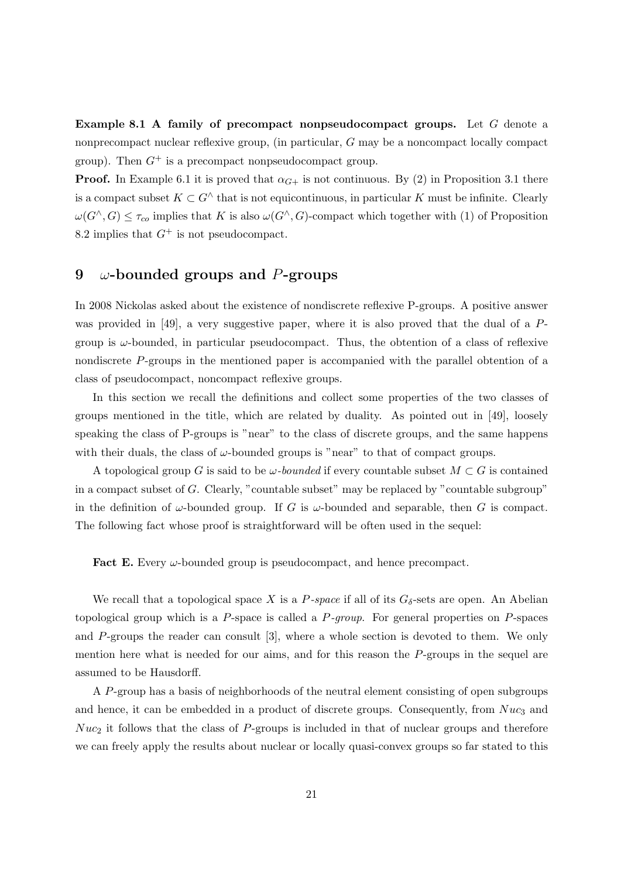**Example 8.1 A family of precompact nonpseudocompact groups.** Let  $G$  denote a nonprecompact nuclear reflexive group, (in particular, G may be a noncompact locally compact group). Then  $G^+$  is a precompact nonpseudocompact group.

**Proof.** In Example 6.1 it is proved that  $\alpha_{G+}$  is not continuous. By (2) in Proposition 3.1 there is a compact subset  $K \subset G^{\wedge}$  that is not equicontinuous, in particular K must be infinite. Clearly  $\omega(G^{\wedge}, G) \leq \tau_{co}$  implies that K is also  $\omega(G^{\wedge}, G)$ -compact which together with (1) of Proposition 8.2 implies that  $G^+$  is not pseudocompact.

## 9  $\omega$ -bounded groups and P-groups

In 2008 Nickolas asked about the existence of nondiscrete reflexive P-groups. A positive answer was provided in [49], a very suggestive paper, where it is also proved that the dual of a Pgroup is  $\omega$ -bounded, in particular pseudocompact. Thus, the obtention of a class of reflexive nondiscrete P-groups in the mentioned paper is accompanied with the parallel obtention of a class of pseudocompact, noncompact reflexive groups.

In this section we recall the definitions and collect some properties of the two classes of groups mentioned in the title, which are related by duality. As pointed out in [49], loosely speaking the class of P-groups is "near" to the class of discrete groups, and the same happens with their duals, the class of  $\omega$ -bounded groups is "near" to that of compact groups.

A topological group G is said to be  $\omega$ -bounded if every countable subset  $M \subset G$  is contained in a compact subset of G. Clearly, "countable subset" may be replaced by "countable subgroup" in the definition of  $\omega$ -bounded group. If G is  $\omega$ -bounded and separable, then G is compact. The following fact whose proof is straightforward will be often used in the sequel:

**Fact E.** Every  $\omega$ -bounded group is pseudocompact, and hence precompact.

We recall that a topological space X is a P-space if all of its  $G_{\delta}$ -sets are open. An Abelian topological group which is a  $P$ -space is called a  $P$ -group. For general properties on  $P$ -spaces and P-groups the reader can consult [3], where a whole section is devoted to them. We only mention here what is needed for our aims, and for this reason the P-groups in the sequel are assumed to be Hausdorff.

A P-group has a basis of neighborhoods of the neutral element consisting of open subgroups and hence, it can be embedded in a product of discrete groups. Consequently, from  $Nuc_3$  and  $Nuc_2$  it follows that the class of P-groups is included in that of nuclear groups and therefore we can freely apply the results about nuclear or locally quasi-convex groups so far stated to this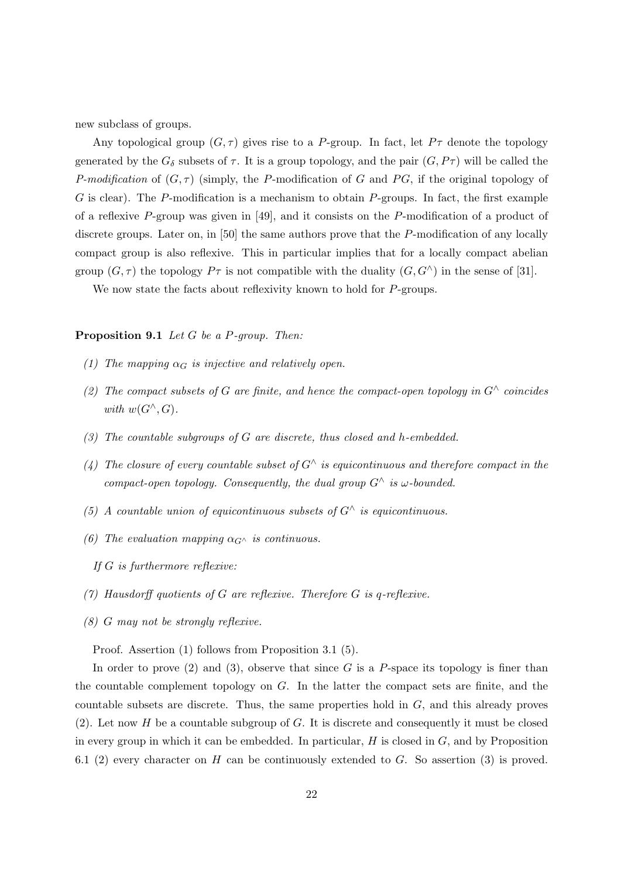new subclass of groups.

Any topological group  $(G, \tau)$  gives rise to a P-group. In fact, let  $P\tau$  denote the topology generated by the  $G_{\delta}$  subsets of  $\tau$ . It is a group topology, and the pair  $(G, P\tau)$  will be called the P-modification of  $(G, \tau)$  (simply, the P-modification of G and PG, if the original topology of  $G$  is clear). The P-modification is a mechanism to obtain P-groups. In fact, the first example of a reflexive P-group was given in [49], and it consists on the P-modification of a product of discrete groups. Later on, in [50] the same authors prove that the P-modification of any locally compact group is also reflexive. This in particular implies that for a locally compact abelian group  $(G, \tau)$  the topology  $P\tau$  is not compatible with the duality  $(G, G^{\wedge})$  in the sense of [31].

We now state the facts about reflexivity known to hold for P-groups.

Proposition 9.1 Let G be a P-group. Then:

- (1) The mapping  $\alpha_G$  is injective and relatively open.
- (2) The compact subsets of G are finite, and hence the compact-open topology in  $G^{\wedge}$  coincides with  $w(G^{\wedge}, G)$ .
- (3) The countable subgroups of  $G$  are discrete, thus closed and h-embedded.
- (4) The closure of every countable subset of  $G^{\wedge}$  is equicontinuous and therefore compact in the compact-open topology. Consequently, the dual group  $G^{\wedge}$  is  $\omega$ -bounded.
- (5) A countable union of equicontinuous subsets of  $G^{\wedge}$  is equicontinuous.
- (6) The evaluation mapping  $\alpha_{G^{\wedge}}$  is continuous.
	- If G is furthermore reflexive:
- (7) Hausdorff quotients of G are reflexive. Therefore G is q-reflexive.
- (8) G may not be strongly reflexive.

Proof. Assertion (1) follows from Proposition 3.1 (5).

In order to prove  $(2)$  and  $(3)$ , observe that since G is a P-space its topology is finer than the countable complement topology on G. In the latter the compact sets are finite, and the countable subsets are discrete. Thus, the same properties hold in  $G$ , and this already proves (2). Let now  $H$  be a countable subgroup of  $G$ . It is discrete and consequently it must be closed in every group in which it can be embedded. In particular,  $H$  is closed in  $G$ , and by Proposition 6.1 (2) every character on H can be continuously extended to G. So assertion (3) is proved.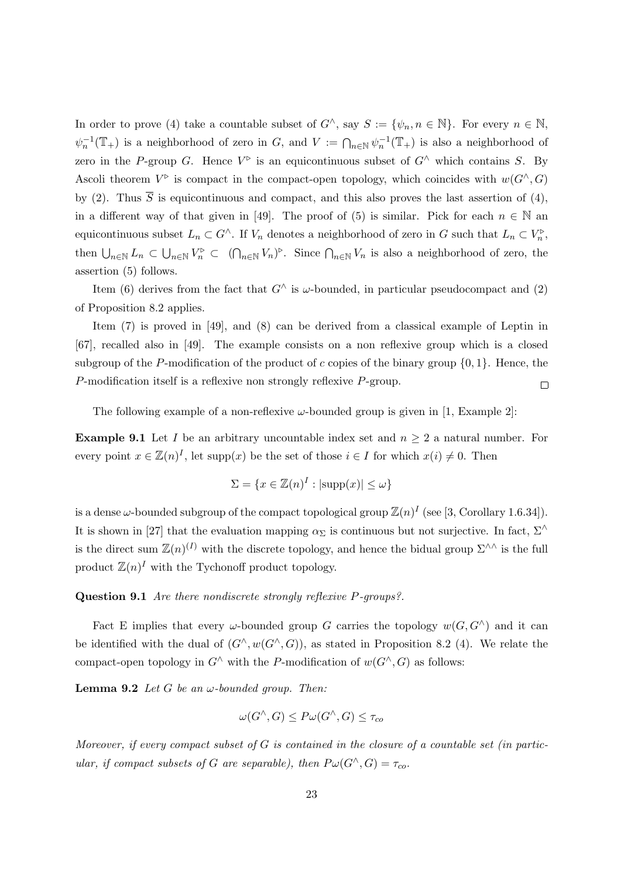In order to prove (4) take a countable subset of  $G^{\wedge}$ , say  $S := \{\psi_n, n \in \mathbb{N}\}\$ . For every  $n \in \mathbb{N}$ ,  $\psi_n^{-1}(\mathbb{T}_+)$  is a neighborhood of zero in G, and  $V := \bigcap_{n\in\mathbb{N}} \psi_n^{-1}(\mathbb{T}_+)$  is also a neighborhood of zero in the P-group G. Hence  $V^{\triangleright}$  is an equicontinuous subset of  $G^{\wedge}$  which contains S. By Ascoli theorem  $V^{\triangleright}$  is compact in the compact-open topology, which coincides with  $w(G^{\wedge}, G)$ by (2). Thus  $\overline{S}$  is equicontinuous and compact, and this also proves the last assertion of (4), in a different way of that given in [49]. The proof of (5) is similar. Pick for each  $n \in \mathbb{N}$  and equicontinuous subset  $L_n \subset G^{\wedge}$ . If  $V_n$  denotes a neighborhood of zero in G such that  $L_n \subset V_n^{\triangleright}$ , then  $\bigcup_{n\in\mathbb{N}} L_n \subset \bigcup_{n\in\mathbb{N}} V_n^{\triangleright} \subset (\bigcap_{n\in\mathbb{N}} V_n)^{\triangleright}$ . Since  $\bigcap_{n\in\mathbb{N}} V_n$  is also a neighborhood of zero, the assertion (5) follows.

Item (6) derives from the fact that  $G^{\wedge}$  is  $\omega$ -bounded, in particular pseudocompact and (2) of Proposition 8.2 applies.

Item (7) is proved in [49], and (8) can be derived from a classical example of Leptin in [67], recalled also in [49]. The example consists on a non reflexive group which is a closed subgroup of the P-modification of the product of c copies of the binary group  $\{0, 1\}$ . Hence, the P-modification itself is a reflexive non strongly reflexive P-group.  $\Box$ 

The following example of a non-reflexive  $\omega$ -bounded group is given in [1, Example 2]:

**Example 9.1** Let I be an arbitrary uncountable index set and  $n \geq 2$  a natural number. For every point  $x \in \mathbb{Z}(n)^I$ , let supp $(x)$  be the set of those  $i \in I$  for which  $x(i) \neq 0$ . Then

$$
\Sigma = \{ x \in \mathbb{Z}(n)^I : |\text{supp}(x)| \le \omega \}
$$

is a dense  $\omega$ -bounded subgroup of the compact topological group  $\mathbb{Z}(n)^I$  (see [3, Corollary 1.6.34]). It is shown in [27] that the evaluation mapping  $\alpha_{\Sigma}$  is continuous but not surjective. In fact,  $\Sigma^{\wedge}$ is the direct sum  $\mathbb{Z}(n)^{(I)}$  with the discrete topology, and hence the bidual group  $\Sigma^{\wedge\wedge}$  is the full product  $\mathbb{Z}(n)^I$  with the Tychonoff product topology.

#### Question 9.1 Are there nondiscrete strongly reflexive P-groups?.

Fact E implies that every  $\omega$ -bounded group G carries the topology  $w(G, G^{\wedge})$  and it can be identified with the dual of  $(G^{\wedge}, w(G^{\wedge}, G))$ , as stated in Proposition 8.2 (4). We relate the compact-open topology in  $G^{\wedge}$  with the P-modification of  $w(G^{\wedge}, G)$  as follows:

**Lemma 9.2** Let G be an  $\omega$ -bounded group. Then:

$$
\omega(G^{\wedge}, G) \le P\omega(G^{\wedge}, G) \le \tau_{co}
$$

Moreover, if every compact subset of  $G$  is contained in the closure of a countable set (in particular, if compact subsets of G are separable), then  $P\omega(G^{\wedge}, G) = \tau_{co}$ .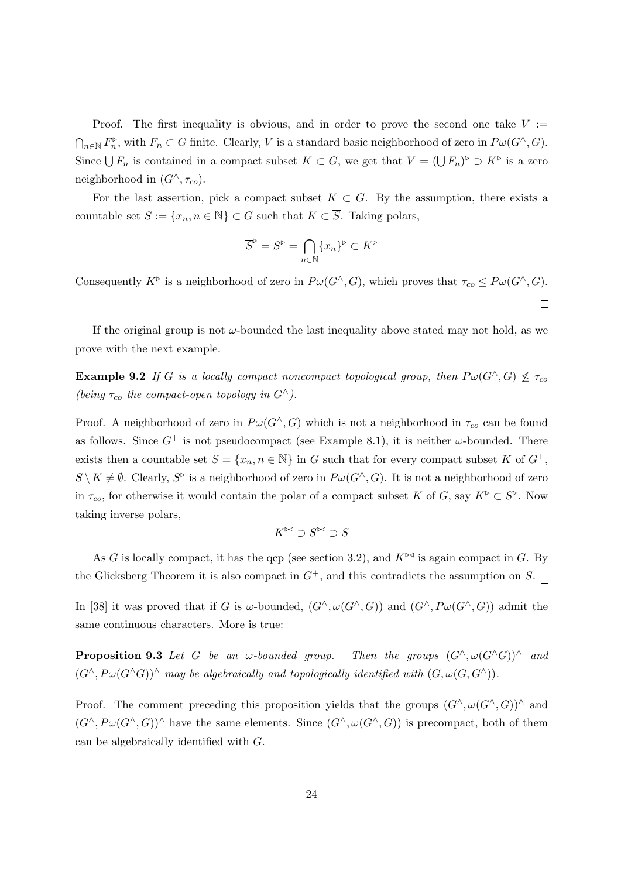Proof. The first inequality is obvious, and in order to prove the second one take  $V :=$  $\bigcap_{n\in\mathbb{N}} F_n^{\triangleright}$ , with  $F_n\subset G$  finite. Clearly, V is a standard basic neighborhood of zero in  $P\omega(G^{\wedge}, G)$ . Since  $\bigcup F_n$  is contained in a compact subset  $K \subset G$ , we get that  $V = (\bigcup F_n)^{\triangleright} \supset K^{\triangleright}$  is a zero neighborhood in  $(G^{\wedge}, \tau_{co})$ .

For the last assertion, pick a compact subset  $K \subset G$ . By the assumption, there exists a countable set  $S := \{x_n, n \in \mathbb{N}\}\subset G$  such that  $K \subset \overline{S}$ . Taking polars,

$$
\overline{S}^{\triangleright} = S^{\triangleright} = \bigcap_{n \in \mathbb{N}} \{x_n\}^{\triangleright} \subset K^{\triangleright}
$$

Consequently  $K^{\triangleright}$  is a neighborhood of zero in  $P\omega(G^{\wedge}, G)$ , which proves that  $\tau_{co} \leq P\omega(G^{\wedge}, G)$ .

 $\Box$ 

If the original group is not  $\omega$ -bounded the last inequality above stated may not hold, as we prove with the next example.

**Example 9.2** If G is a locally compact noncompact topological group, then  $P\omega(G^{\wedge}, G) \nleq \tau_{co}$ (being  $\tau_{co}$  the compact-open topology in  $G^{\wedge}$ ).

Proof. A neighborhood of zero in  $P\omega(G^{\wedge}, G)$  which is not a neighborhood in  $\tau_{co}$  can be found as follows. Since  $G^+$  is not pseudocompact (see Example 8.1), it is neither  $\omega$ -bounded. There exists then a countable set  $S = \{x_n, n \in \mathbb{N}\}\$ in G such that for every compact subset K of  $G^+$ ,  $S \setminus K \neq \emptyset$ . Clearly,  $S^{\triangleright}$  is a neighborhood of zero in  $P \omega(G^{\wedge}, G)$ . It is not a neighborhood of zero in  $\tau_{co}$ , for otherwise it would contain the polar of a compact subset K of G, say  $K^{\triangleright} \subset S^{\triangleright}$ . Now taking inverse polars,

$$
K^{\bowtie}\supset S^{\bowtie}\supset S
$$

As G is locally compact, it has the qcp (see section 3.2), and  $K^{\triangleright\triangleleft}$  is again compact in G. By the Glicksberg Theorem it is also compact in  $G^+$ , and this contradicts the assumption on S.

In [38] it was proved that if G is  $\omega$ -bounded,  $(G^{\wedge}, \omega(G^{\wedge}, G))$  and  $(G^{\wedge}, P\omega(G^{\wedge}, G))$  admit the same continuous characters. More is true:

**Proposition 9.3** Let G be an w-bounded group. Then the groups  $(G^{\wedge}, \omega(G^{\wedge}G))^{\wedge}$  and  $(G^{\wedge}, P\omega(G^{\wedge}G))^{\wedge}$  may be algebraically and topologically identified with  $(G, \omega(G, G^{\wedge}))$ .

Proof. The comment preceding this proposition yields that the groups  $(G^{\wedge}, \omega(G^{\wedge}, G))^{\wedge}$  and  $(G^{\wedge}, P\omega(G^{\wedge}, G))^{\wedge}$  have the same elements. Since  $(G^{\wedge}, \omega(G^{\wedge}, G))$  is precompact, both of them can be algebraically identified with G.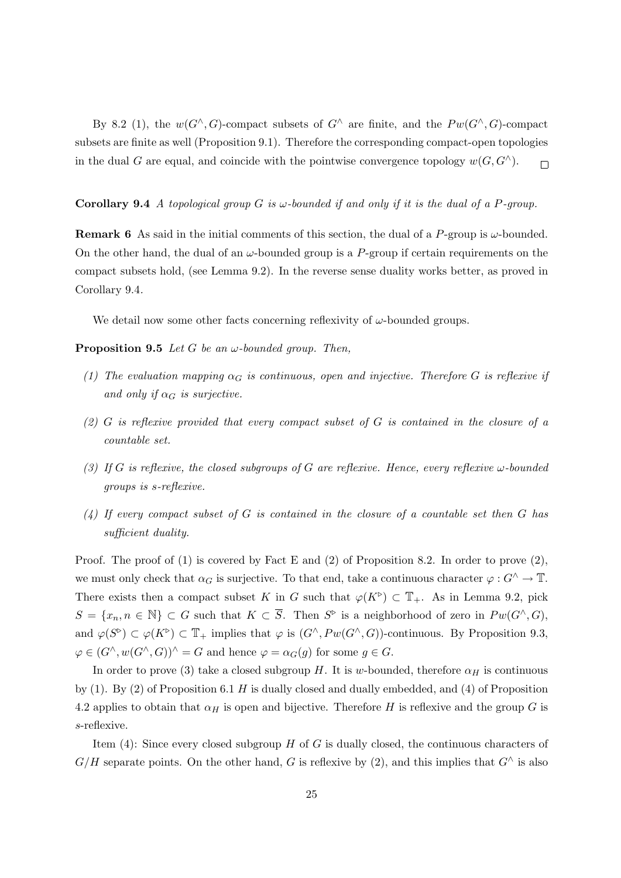By 8.2 (1), the  $w(G^{\wedge}, G)$ -compact subsets of  $G^{\wedge}$  are finite, and the  $P w(G^{\wedge}, G)$ -compact subsets are finite as well (Proposition 9.1). Therefore the corresponding compact-open topologies in the dual G are equal, and coincide with the pointwise convergence topology  $w(G, G^{\wedge})$ .  $\Box$ 

#### **Corollary 9.4** A topological group G is  $\omega$ -bounded if and only if it is the dual of a P-group.

**Remark 6** As said in the initial comments of this section, the dual of a P-group is  $\omega$ -bounded. On the other hand, the dual of an  $\omega$ -bounded group is a P-group if certain requirements on the compact subsets hold, (see Lemma 9.2). In the reverse sense duality works better, as proved in Corollary 9.4.

We detail now some other facts concerning reflexivity of  $\omega$ -bounded groups.

**Proposition 9.5** Let G be an  $\omega$ -bounded group. Then,

- (1) The evaluation mapping  $\alpha_G$  is continuous, open and injective. Therefore G is reflexive if and only if  $\alpha_G$  is surjective.
- (2) G is reflexive provided that every compact subset of G is contained in the closure of a countable set.
- (3) If G is reflexive, the closed subgroups of G are reflexive. Hence, every reflexive  $\omega$ -bounded groups is s-reflexive.
- $(4)$  If every compact subset of G is contained in the closure of a countable set then G has sufficient duality.

Proof. The proof of (1) is covered by Fact E and (2) of Proposition 8.2. In order to prove  $(2)$ , we must only check that  $\alpha_G$  is surjective. To that end, take a continuous character  $\varphi: G^\wedge \to \mathbb{T}$ . There exists then a compact subset K in G such that  $\varphi(K^{\triangleright}) \subset \mathbb{T}_+$ . As in Lemma 9.2, pick  $S = \{x_n, n \in \mathbb{N}\}\subset G$  such that  $K \subset \overline{S}$ . Then  $S^{\triangleright}$  is a neighborhood of zero in  $Pw(G^{\wedge}, G)$ , and  $\varphi(S^{\triangleright}) \subset \varphi(K^{\triangleright}) \subset \mathbb{T}_+$  implies that  $\varphi$  is  $(G^{\wedge}, P w(G^{\wedge}, G))$ -continuous. By Proposition 9.3,  $\varphi \in (G^{\wedge}, w(G^{\wedge}, G))^{\wedge} = G$  and hence  $\varphi = \alpha_G(g)$  for some  $g \in G$ .

In order to prove (3) take a closed subgroup H. It is w-bounded, therefore  $\alpha_H$  is continuous by (1). By (2) of Proposition 6.1  $H$  is dually closed and dually embedded, and (4) of Proposition 4.2 applies to obtain that  $\alpha_H$  is open and bijective. Therefore H is reflexive and the group G is s-reflexive.

Item  $(4)$ : Since every closed subgroup H of G is dually closed, the continuous characters of  $G/H$  separate points. On the other hand, G is reflexive by (2), and this implies that  $G^{\wedge}$  is also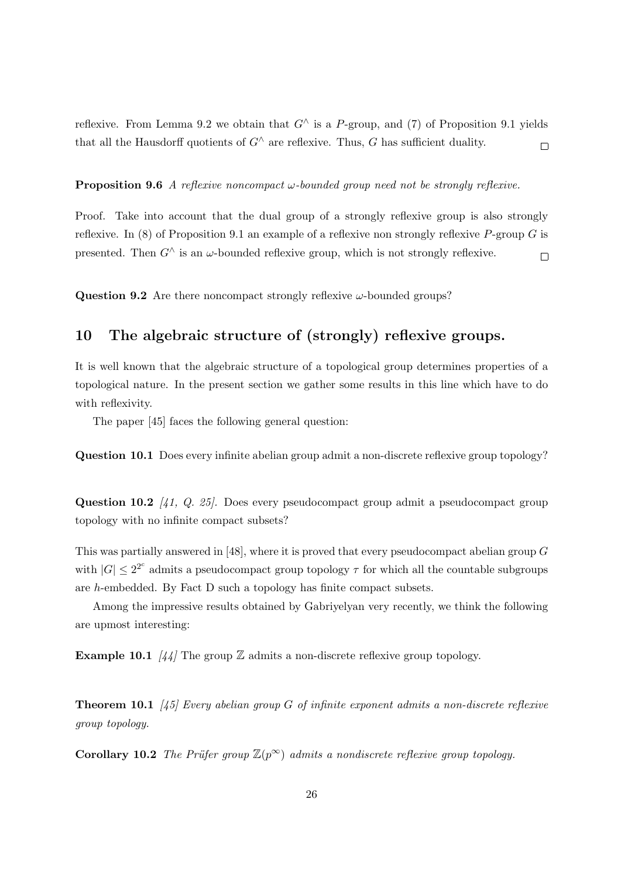reflexive. From Lemma 9.2 we obtain that  $G^{\wedge}$  is a P-group, and (7) of Proposition 9.1 yields that all the Hausdorff quotients of  $G^{\wedge}$  are reflexive. Thus, G has sufficient duality.  $\Box$ 

**Proposition 9.6** A reflexive noncompact  $\omega$ -bounded group need not be strongly reflexive.

Proof. Take into account that the dual group of a strongly reflexive group is also strongly reflexive. In (8) of Proposition 9.1 an example of a reflexive non strongly reflexive  $P$ -group G is presented. Then  $G^{\wedge}$  is an  $\omega$ -bounded reflexive group, which is not strongly reflexive.  $\Box$ 

**Question 9.2** Are there noncompact strongly reflexive  $\omega$ -bounded groups?

## 10 The algebraic structure of (strongly) reflexive groups.

It is well known that the algebraic structure of a topological group determines properties of a topological nature. In the present section we gather some results in this line which have to do with reflexivity.

The paper [45] faces the following general question:

Question 10.1 Does every infinite abelian group admit a non-discrete reflexive group topology?

Question 10.2 (41, Q. 25). Does every pseudocompact group admit a pseudocompact group topology with no infinite compact subsets?

This was partially answered in [48], where it is proved that every pseudocompact abelian group G with  $|G| \leq 2^{2^c}$  admits a pseudocompact group topology  $\tau$  for which all the countable subgroups are h-embedded. By Fact D such a topology has finite compact subsets.

Among the impressive results obtained by Gabriyelyan very recently, we think the following are upmost interesting:

**Example 10.1**  $\frac{1}{4}$  The group  $\mathbb{Z}$  admits a non-discrete reflexive group topology.

**Theorem 10.1** [45] Every abelian group G of infinite exponent admits a non-discrete reflexive group topology.

Corollary 10.2 The Prüfer group  $\mathbb{Z}(p^{\infty})$  admits a nondiscrete reflexive group topology.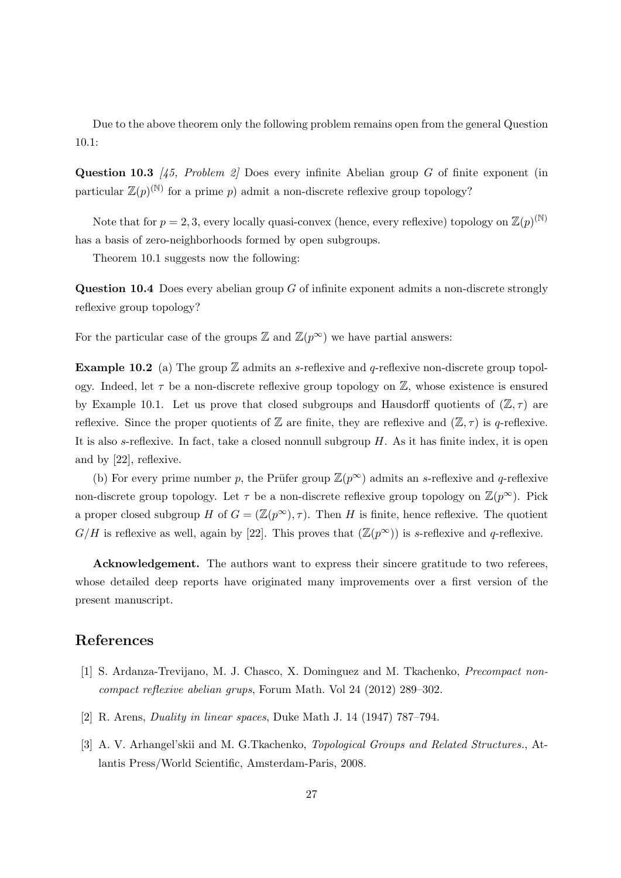Due to the above theorem only the following problem remains open from the general Question 10.1:

Question 10.3  $\frac{1}{45}$ , Problem 2 Does every infinite Abelian group G of finite exponent (in particular  $\mathbb{Z}(p)^{(\mathbb{N})}$  for a prime p) admit a non-discrete reflexive group topology?

Note that for  $p = 2, 3$ , every locally quasi-convex (hence, every reflexive) topology on  $\mathbb{Z}(p)^{(\mathbb{N})}$ has a basis of zero-neighborhoods formed by open subgroups.

Theorem 10.1 suggests now the following:

Question 10.4 Does every abelian group G of infinite exponent admits a non-discrete strongly reflexive group topology?

For the particular case of the groups  $\mathbb{Z}$  and  $\mathbb{Z}(p^{\infty})$  we have partial answers:

**Example 10.2** (a) The group  $\mathbb{Z}$  admits an *s*-reflexive and *q*-reflexive non-discrete group topology. Indeed, let  $\tau$  be a non-discrete reflexive group topology on  $\mathbb{Z}$ , whose existence is ensured by Example 10.1. Let us prove that closed subgroups and Hausdorff quotients of  $(\mathbb{Z}, \tau)$  are reflexive. Since the proper quotients of  $\mathbb Z$  are finite, they are reflexive and  $(\mathbb Z, \tau)$  is q-reflexive. It is also s-reflexive. In fact, take a closed nonnull subgroup  $H$ . As it has finite index, it is open and by [22], reflexive.

(b) For every prime number p, the Prüfer group  $\mathbb{Z}(p^{\infty})$  admits an s-reflexive and q-reflexive non-discrete group topology. Let  $\tau$  be a non-discrete reflexive group topology on  $\mathbb{Z}(p^{\infty})$ . Pick a proper closed subgroup H of  $G = (\mathbb{Z}(p^{\infty}), \tau)$ . Then H is finite, hence reflexive. The quotient  $G/H$  is reflexive as well, again by [22]. This proves that  $(\mathbb{Z}(p^{\infty}))$  is s-reflexive and q-reflexive.

Acknowledgement. The authors want to express their sincere gratitude to two referees, whose detailed deep reports have originated many improvements over a first version of the present manuscript.

### References

- [1] S. Ardanza-Trevijano, M. J. Chasco, X. Dominguez and M. Tkachenko, Precompact noncompact reflexive abelian grups, Forum Math. Vol 24 (2012) 289–302.
- [2] R. Arens, Duality in linear spaces, Duke Math J. 14 (1947) 787–794.
- [3] A. V. Arhangel'skii and M. G.Tkachenko, Topological Groups and Related Structures., Atlantis Press/World Scientific, Amsterdam-Paris, 2008.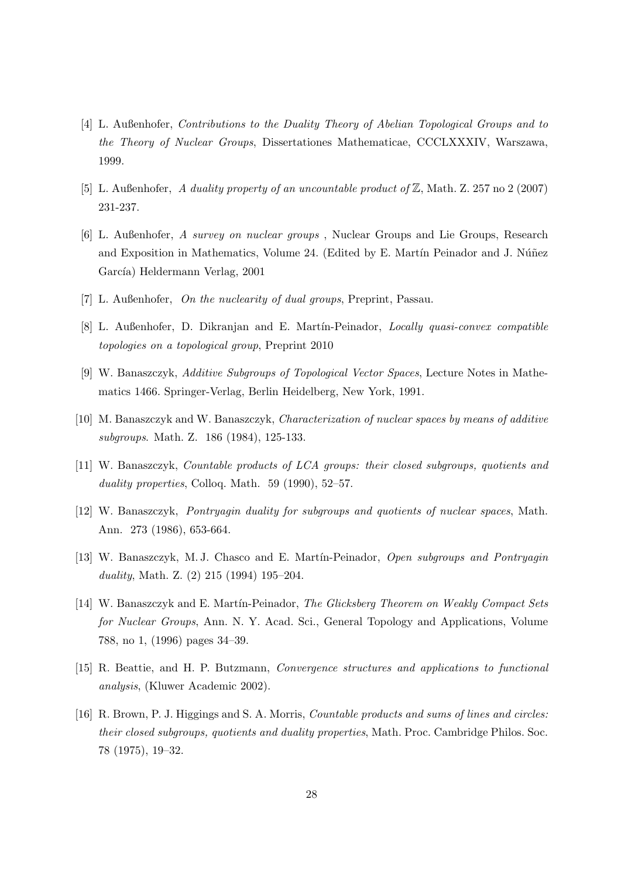- [4] L. Außenhofer, Contributions to the Duality Theory of Abelian Topological Groups and to the Theory of Nuclear Groups, Dissertationes Mathematicae, CCCLXXXIV, Warszawa, 1999.
- [5] L. Außenhofer, A duality property of an uncountable product of Z, Math. Z. 257 no 2 (2007) 231-237.
- [6] L. Außenhofer, A survey on nuclear groups , Nuclear Groups and Lie Groups, Research and Exposition in Mathematics, Volume 24. (Edited by E. Martín Peinador and J. Núñez García) Heldermann Verlag, 2001
- [7] L. Außenhofer, On the nuclearity of dual groups, Preprint, Passau.
- [8] L. Außenhofer, D. Dikranjan and E. Martín-Peinador, *Locally quasi-convex compatible* topologies on a topological group, Preprint 2010
- [9] W. Banaszczyk, Additive Subgroups of Topological Vector Spaces, Lecture Notes in Mathematics 1466. Springer-Verlag, Berlin Heidelberg, New York, 1991.
- [10] M. Banaszczyk and W. Banaszczyk, *Characterization of nuclear spaces by means of additive* subgroups. Math. Z. 186 (1984), 125-133.
- [11] W. Banaszczyk, Countable products of LCA groups: their closed subgroups, quotients and duality properties, Colloq. Math. 59 (1990), 52–57.
- [12] W. Banaszczyk, Pontryagin duality for subgroups and quotients of nuclear spaces, Math. Ann. 273 (1986), 653-664.
- [13] W. Banaszczyk, M. J. Chasco and E. Mart´ın-Peinador, Open subgroups and Pontryagin duality, Math. Z. (2) 215 (1994) 195–204.
- [14] W. Banaszczyk and E. Martín-Peinador, The Glicksberg Theorem on Weakly Compact Sets for Nuclear Groups, Ann. N. Y. Acad. Sci., General Topology and Applications, Volume 788, no 1, (1996) pages 34–39.
- [15] R. Beattie, and H. P. Butzmann, Convergence structures and applications to functional analysis, (Kluwer Academic 2002).
- [16] R. Brown, P. J. Higgings and S. A. Morris, Countable products and sums of lines and circles: their closed subgroups, quotients and duality properties, Math. Proc. Cambridge Philos. Soc. 78 (1975), 19–32.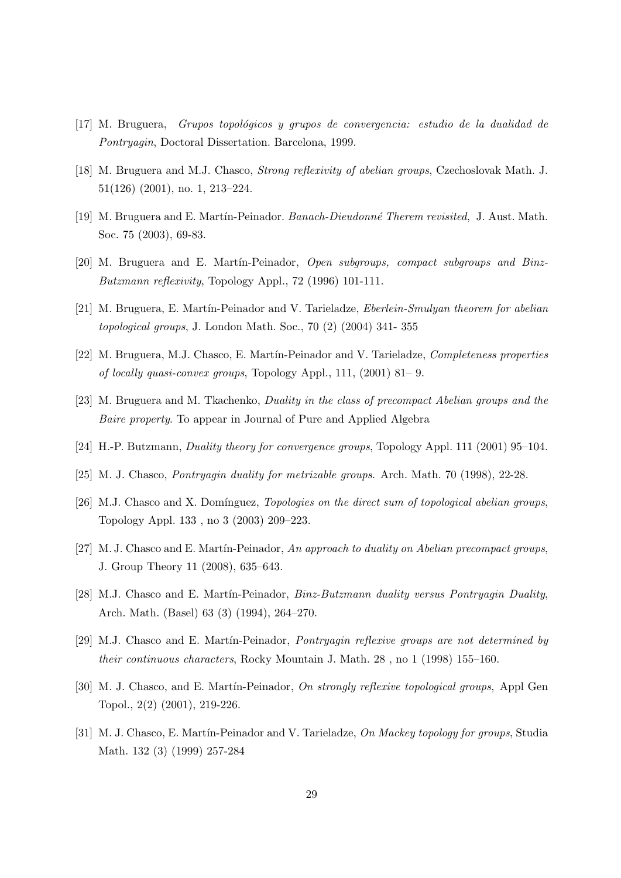- $[17]$  M. Bruguera, Grupos topológicos y grupos de convergencia: estudio de la dualidad de Pontryagin, Doctoral Dissertation. Barcelona, 1999.
- [18] M. Bruguera and M.J. Chasco, Strong reflexivity of abelian groups, Czechoslovak Math. J. 51(126) (2001), no. 1, 213–224.
- [19] M. Bruguera and E. Martín-Peinador. Banach-Dieudonné Therem revisited, J. Aust. Math. Soc. 75 (2003), 69-83.
- [20] M. Bruguera and E. Martín-Peinador, *Open subgroups, compact subgroups and Binz*-Butzmann reflexivity, Topology Appl., 72 (1996) 101-111.
- [21] M. Bruguera, E. Martín-Peinador and V. Tarieladze, *Eberlein-Smulyan theorem for abelian* topological groups, J. London Math. Soc., 70 (2) (2004) 341- 355
- [22] M. Bruguera, M.J. Chasco, E. Martín-Peinador and V. Tarieladze, *Completeness properties* of locally quasi-convex groups, Topology Appl., 111, (2001) 81– 9.
- [23] M. Bruguera and M. Tkachenko, Duality in the class of precompact Abelian groups and the Baire property. To appear in Journal of Pure and Applied Algebra
- [24] H.-P. Butzmann, Duality theory for convergence groups, Topology Appl. 111 (2001) 95–104.
- [25] M. J. Chasco, Pontryagin duality for metrizable groups. Arch. Math. 70 (1998), 22-28.
- [26] M.J. Chasco and X. Domínguez, *Topologies on the direct sum of topological abelian groups*, Topology Appl. 133 , no 3 (2003) 209–223.
- [27] M. J. Chasco and E. Martín-Peinador, An approach to duality on Abelian precompact groups, J. Group Theory 11 (2008), 635–643.
- [28] M.J. Chasco and E. Martín-Peinador, *Binz-Butzmann duality versus Pontryagin Duality*, Arch. Math. (Basel) 63 (3) (1994), 264–270.
- [29] M.J. Chasco and E. Martín-Peinador, *Pontryagin reflexive groups are not determined by* their continuous characters, Rocky Mountain J. Math. 28 , no 1 (1998) 155–160.
- [30] M. J. Chasco, and E. Martín-Peinador, *On strongly reflexive topological groups*, Appl Gen Topol., 2(2) (2001), 219-226.
- [31] M. J. Chasco, E. Martín-Peinador and V. Tarieladze, On Mackey topology for groups, Studia Math. 132 (3) (1999) 257-284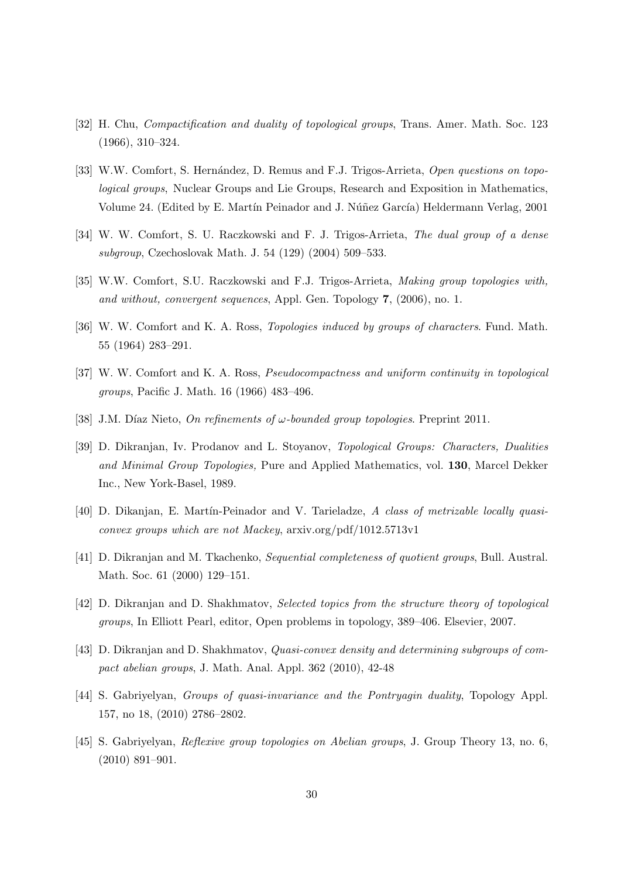- [32] H. Chu, Compactification and duality of topological groups, Trans. Amer. Math. Soc. 123 (1966), 310–324.
- [33] W.W. Comfort, S. Hernández, D. Remus and F.J. Trigos-Arrieta, Open questions on topological groups, Nuclear Groups and Lie Groups, Research and Exposition in Mathematics, Volume 24. (Edited by E. Martín Peinador and J. Núñez García) Heldermann Verlag, 2001
- [34] W. W. Comfort, S. U. Raczkowski and F. J. Trigos-Arrieta, The dual group of a dense subgroup, Czechoslovak Math. J. 54 (129) (2004) 509–533.
- [35] W.W. Comfort, S.U. Raczkowski and F.J. Trigos-Arrieta, Making group topologies with, and without, convergent sequences, Appl. Gen. Topology 7, (2006), no. 1.
- [36] W. W. Comfort and K. A. Ross, *Topologies induced by groups of characters*. Fund. Math. 55 (1964) 283–291.
- [37] W. W. Comfort and K. A. Ross, *Pseudocompactness and uniform continuity in topological* groups, Pacific J. Math. 16 (1966) 483–496.
- [38] J.M. Díaz Nieto, On refinements of  $\omega$ -bounded group topologies. Preprint 2011.
- [39] D. Dikranjan, Iv. Prodanov and L. Stoyanov, Topological Groups: Characters, Dualities and Minimal Group Topologies, Pure and Applied Mathematics, vol. 130, Marcel Dekker Inc., New York-Basel, 1989.
- [40] D. Dikanjan, E. Martín-Peinador and V. Tarieladze, A class of metrizable locally quasiconvex groups which are not Mackey, arxiv.org/pdf/1012.5713v1
- [41] D. Dikranjan and M. Tkachenko, Sequential completeness of quotient groups, Bull. Austral. Math. Soc. 61 (2000) 129–151.
- [42] D. Dikranjan and D. Shakhmatov, Selected topics from the structure theory of topological groups, In Elliott Pearl, editor, Open problems in topology, 389–406. Elsevier, 2007.
- [43] D. Dikranjan and D. Shakhmatov, Quasi-convex density and determining subgroups of compact abelian groups, J. Math. Anal. Appl. 362 (2010), 42-48
- [44] S. Gabriyelyan, Groups of quasi-invariance and the Pontryagin duality, Topology Appl. 157, no 18, (2010) 2786–2802.
- [45] S. Gabriyelyan, Reflexive group topologies on Abelian groups, J. Group Theory 13, no. 6, (2010) 891–901.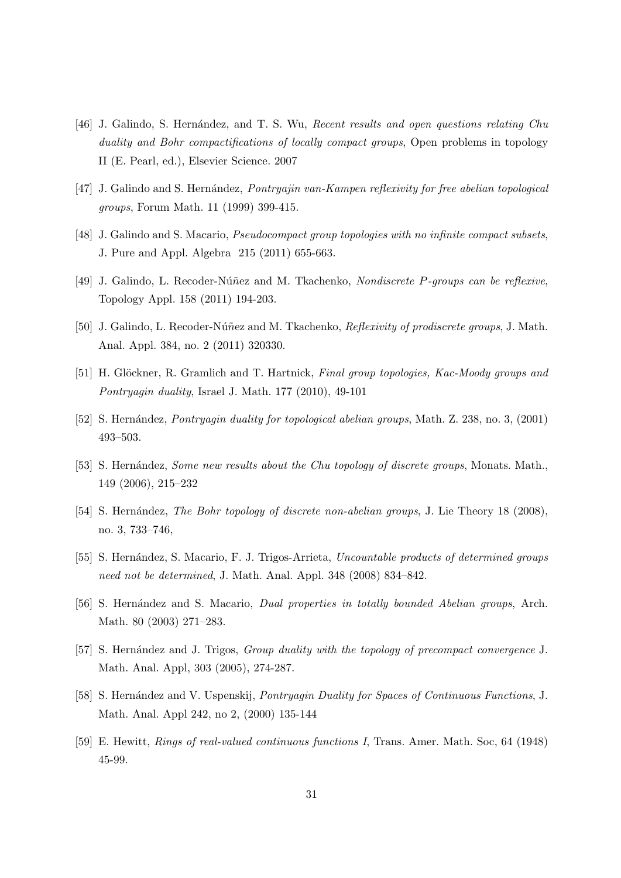- [46] J. Galindo, S. Hernández, and T. S. Wu, Recent results and open questions relating Chu duality and Bohr compactifications of locally compact groups, Open problems in topology II (E. Pearl, ed.), Elsevier Science. 2007
- [47] J. Galindo and S. Hernández, Pontryajin van-Kampen reflexivity for free abelian topological groups, Forum Math. 11 (1999) 399-415.
- [48] J. Galindo and S. Macario, Pseudocompact group topologies with no infinite compact subsets, J. Pure and Appl. Algebra 215 (2011) 655-663.
- [49] J. Galindo, L. Recoder-Núñez and M. Tkachenko, Nondiscrete P-groups can be reflexive, Topology Appl. 158 (2011) 194-203.
- [50] J. Galindo, L. Recoder-Núñez and M. Tkachenko, Reflexivity of prodiscrete groups, J. Math. Anal. Appl. 384, no. 2 (2011) 320330.
- [51] H. Glöckner, R. Gramlich and T. Hartnick, Final group topologies, Kac-Moody groups and Pontryagin duality, Israel J. Math. 177 (2010), 49-101
- [52] S. Hernández, *Pontryagin duality for topological abelian groups*, Math. Z. 238, no. 3, (2001) 493–503.
- [53] S. Hernández, Some new results about the Chu topology of discrete groups, Monats. Math., 149 (2006), 215–232
- [54] S. Hernández, *The Bohr topology of discrete non-abelian groups*, J. Lie Theory 18 (2008), no. 3, 733–746,
- [55] S. Hernández, S. Macario, F. J. Trigos-Arrieta, Uncountable products of determined groups need not be determined, J. Math. Anal. Appl. 348 (2008) 834–842.
- [56] S. Hernández and S. Macario, *Dual properties in totally bounded Abelian groups*, Arch. Math. 80 (2003) 271–283.
- [57] S. Hernández and J. Trigos, *Group duality with the topology of precompact convergence* J. Math. Anal. Appl, 303 (2005), 274-287.
- [58] S. Hernández and V. Uspenskij, Pontryagin Duality for Spaces of Continuous Functions, J. Math. Anal. Appl 242, no 2, (2000) 135-144
- [59] E. Hewitt, Rings of real-valued continuous functions I, Trans. Amer. Math. Soc, 64 (1948) 45-99.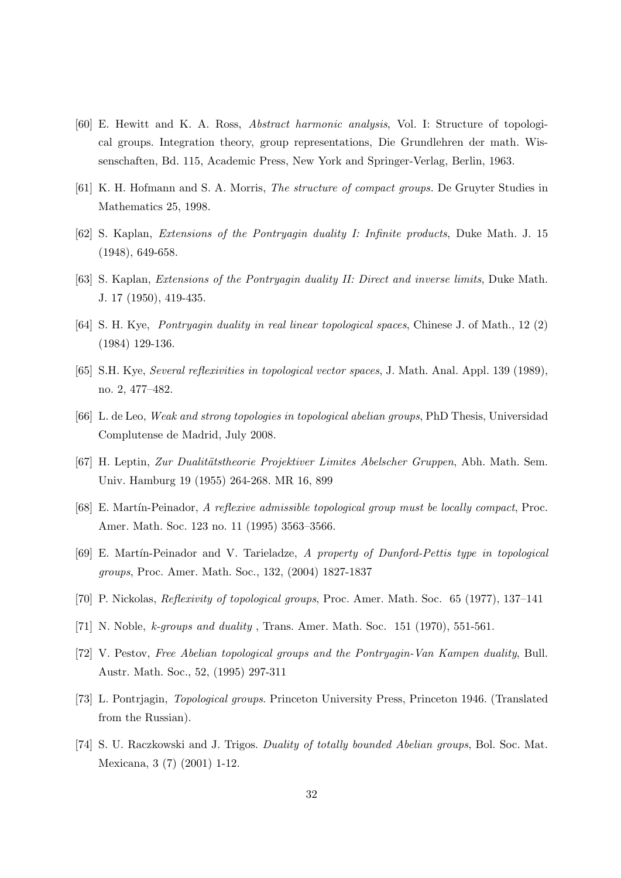- [60] E. Hewitt and K. A. Ross, Abstract harmonic analysis, Vol. I: Structure of topological groups. Integration theory, group representations, Die Grundlehren der math. Wissenschaften, Bd. 115, Academic Press, New York and Springer-Verlag, Berlin, 1963.
- [61] K. H. Hofmann and S. A. Morris, The structure of compact groups. De Gruyter Studies in Mathematics 25, 1998.
- [62] S. Kaplan, Extensions of the Pontryagin duality I: Infinite products, Duke Math. J. 15 (1948), 649-658.
- [63] S. Kaplan, Extensions of the Pontryagin duality II: Direct and inverse limits, Duke Math. J. 17 (1950), 419-435.
- [64] S. H. Kye, Pontryagin duality in real linear topological spaces, Chinese J. of Math., 12 (2) (1984) 129-136.
- [65] S.H. Kye, Several reflexivities in topological vector spaces, J. Math. Anal. Appl. 139 (1989), no. 2, 477–482.
- [66] L. de Leo, Weak and strong topologies in topological abelian groups, PhD Thesis, Universidad Complutense de Madrid, July 2008.
- [67] H. Leptin, Zur Dualitätstheorie Projektiver Limites Abelscher Gruppen, Abh. Math. Sem. Univ. Hamburg 19 (1955) 264-268. MR 16, 899
- [68] E. Mart´ın-Peinador, A reflexive admissible topological group must be locally compact, Proc. Amer. Math. Soc. 123 no. 11 (1995) 3563–3566.
- [69] E. Martín-Peinador and V. Tarieladze, A property of Dunford-Pettis type in topological groups, Proc. Amer. Math. Soc., 132, (2004) 1827-1837
- [70] P. Nickolas, Reflexivity of topological groups, Proc. Amer. Math. Soc. 65 (1977), 137–141
- [71] N. Noble, k-groups and duality , Trans. Amer. Math. Soc. 151 (1970), 551-561.
- [72] V. Pestov, Free Abelian topological groups and the Pontryagin-Van Kampen duality, Bull. Austr. Math. Soc., 52, (1995) 297-311
- [73] L. Pontrjagin, Topological groups. Princeton University Press, Princeton 1946. (Translated from the Russian).
- [74] S. U. Raczkowski and J. Trigos. *Duality of totally bounded Abelian groups*, Bol. Soc. Mat. Mexicana, 3 (7) (2001) 1-12.